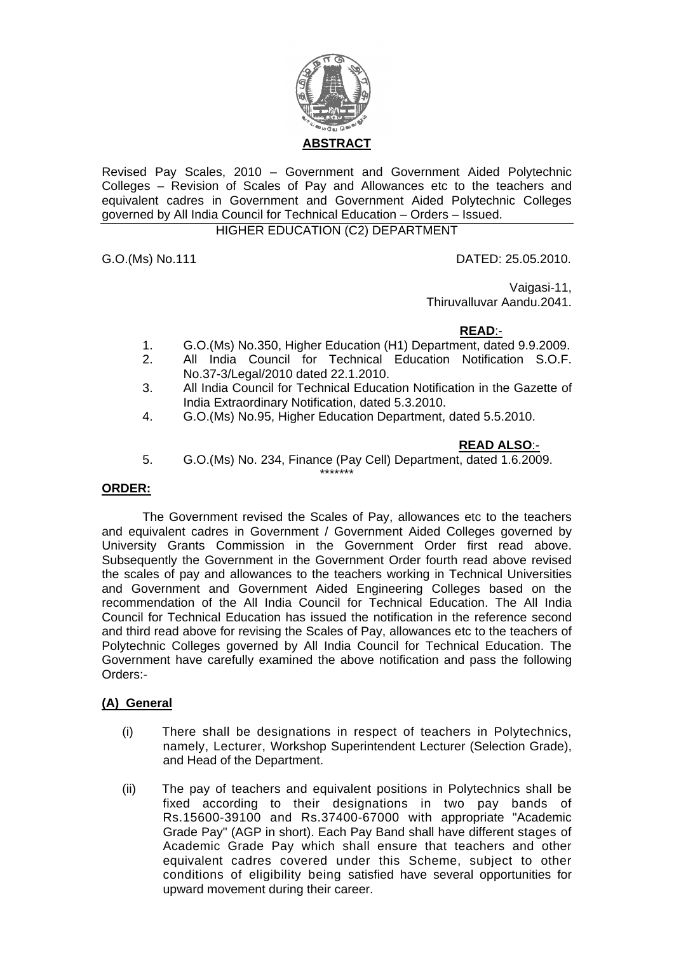

Revised Pay Scales, 2010 – Government and Government Aided Polytechnic Colleges – Revision of Scales of Pay and Allowances etc to the teachers and equivalent cadres in Government and Government Aided Polytechnic Colleges governed by All India Council for Technical Education – Orders – Issued.

# HIGHER EDUCATION (C2) DEPARTMENT

G.O.(Ms) No.111 DATED: 25.05.2010.

Vaigasi-11.

Thiruvalluvar Aandu.2041.

#### **READ**:-

- 1. G.O.(Ms) No.350, Higher Education (H1) Department, dated 9.9.2009.
- 2. All India Council for Technical Education Notification S.O.F. No.37-3/Legal/2010 dated 22.1.2010.
- 3. All India Council for Technical Education Notification in the Gazette of India Extraordinary Notification, dated 5.3.2010.
- 4. G.O.(Ms) No.95, Higher Education Department, dated 5.5.2010.

#### **READ ALSO**:-

5. G.O.(Ms) No. 234, Finance (Pay Cell) Department, dated 1.6.2009. \*\*\*\*\*\*\*

#### **ORDER:**

 The Government revised the Scales of Pay, allowances etc to the teachers and equivalent cadres in Government / Government Aided Colleges governed by University Grants Commission in the Government Order first read above. Subsequently the Government in the Government Order fourth read above revised the scales of pay and allowances to the teachers working in Technical Universities and Government and Government Aided Engineering Colleges based on the recommendation of the All India Council for Technical Education. The All India Council for Technical Education has issued the notification in the reference second and third read above for revising the Scales of Pay, allowances etc to the teachers of Polytechnic Colleges governed by All India Council for Technical Education. The Government have carefully examined the above notification and pass the following Orders:-

#### **(A) General**

- (i) There shall be designations in respect of teachers in Polytechnics, namely, Lecturer, Workshop Superintendent Lecturer (Selection Grade), and Head of the Department.
- (ii) The pay of teachers and equivalent positions in Polytechnics shall be fixed according to their designations in two pay bands of Rs.15600-39100 and Rs.37400-67000 with appropriate "Academic Grade Pay" (AGP in short). Each Pay Band shall have different stages of Academic Grade Pay which shall ensure that teachers and other equivalent cadres covered under this Scheme, subject to other conditions of eligibility being satisfied have several opportunities for upward movement during their career.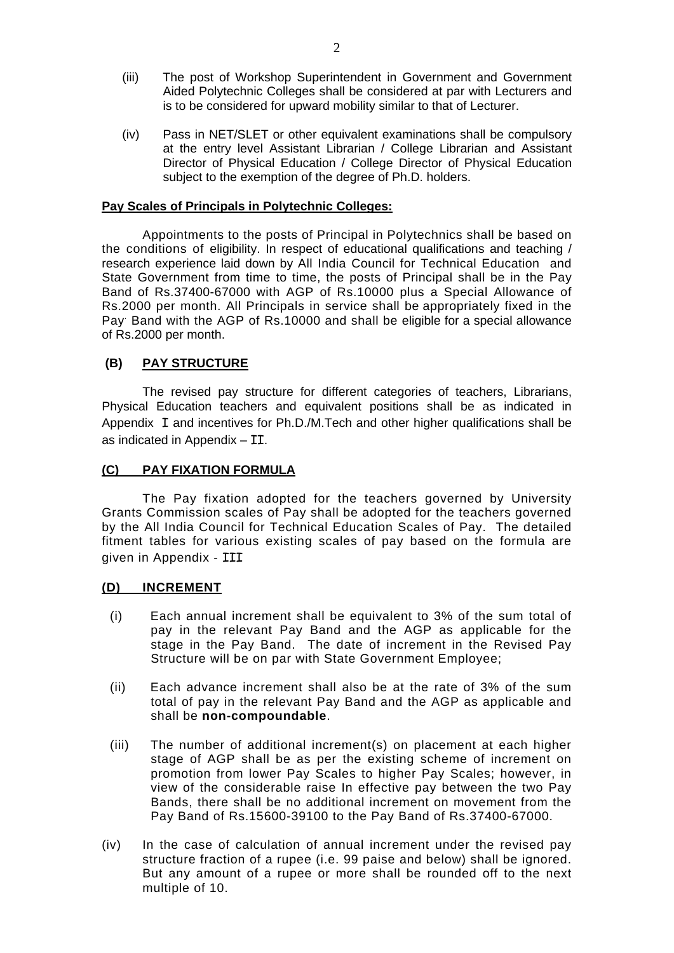- (iii) The post of Workshop Superintendent in Government and Government Aided Polytechnic Colleges shall be considered at par with Lecturers and is to be considered for upward mobility similar to that of Lecturer.
- (iv) Pass in NET/SLET or other equivalent examinations shall be compulsory at the entry level Assistant Librarian / College Librarian and Assistant Director of Physical Education / College Director of Physical Education subject to the exemption of the degree of Ph.D. holders.

#### **Pay Scales of Principals in Polytechnic Colleges:**

Appointments to the posts of Principal in Polytechnics shall be based on the conditions of eligibility. In respect of educational qualifications and teaching / research experience laid down by All India Council for Technical Education and State Government from time to time, the posts of Principal shall be in the Pay Band of Rs.37400-67000 with AGP of Rs.10000 plus a Special Allowance of Rs.2000 per month. All Principals in service shall be appropriately fixed in the Pay. Band with the AGP of Rs.10000 and shall be eligible for a special allowance of Rs.2000 per month.

#### **(B) PAY STRUCTURE**

The revised pay structure for different categories of teachers, Librarians, Physical Education teachers and equivalent positions shall be as indicated in Appendix I and incentives for Ph.D./M.Tech and other higher qualifications shall be as indicated in Appendix – II.

#### **(C) PAY FIXATION FORMULA**

The Pay fixation adopted for the teachers governed by University Grants Commission scales of Pay shall be adopted for the teachers governed by the All India Council for Technical Education Scales of Pay. The detailed fitment tables for various existing scales of pay based on the formula are given in Appendix - III

#### **(D) INCREMENT**

- (i) Each annual increment shall be equivalent to 3% of the sum total of pay in the relevant Pay Band and the AGP as applicable for the stage in the Pay Band. The date of increment in the Revised Pay Structure will be on par with State Government Employee;
- (ii) Each advance increment shall also be at the rate of 3% of the sum total of pay in the relevant Pay Band and the AGP as applicable and shall be **non-compoundable**.
- (iii) The number of additional increment(s) on placement at each higher stage of AGP shall be as per the existing scheme of increment on promotion from lower Pay Scales to higher Pay Scales; however, in view of the considerable raise In effective pay between the two Pay Bands, there shall be no additional increment on movement from the Pay Band of Rs.15600-39100 to the Pay Band of Rs.37400-67000.
- (iv) In the case of calculation of annual increment under the revised pay structure fraction of a rupee (i.e. 99 paise and below) shall be ignored. But any amount of a rupee or more shall be rounded off to the next multiple of 10.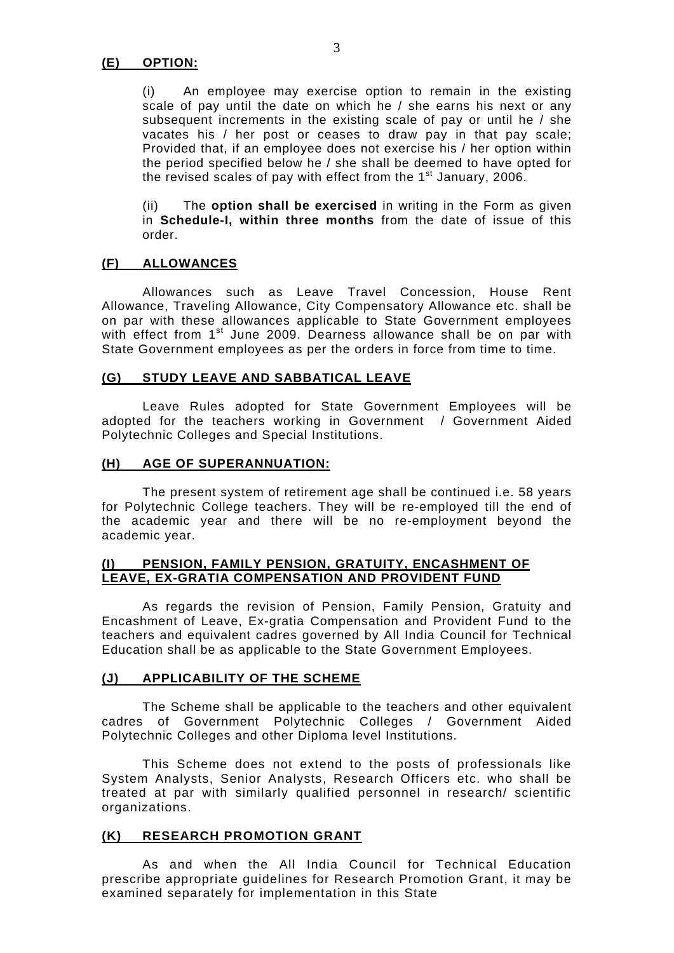(i) An employee may exercise option to remain in the existing scale of pay until the date on which he / she earns his next or any subsequent increments in the existing scale of pay or until he / she vacates his / her post or ceases to draw pay in that pay scale; Provided that, if an employee does not exercise his / her option within the period specified below he / she shall be deemed to have opted for the revised scales of pay with effect from the 1<sup>st</sup> January, 2006.

 (ii) The **option shall be exercised** in writing in the Form as given in **Schedule-I, within three months** from the date of issue of this order.

#### **(F) ALLOWANCES**

Allowances such as Leave Travel Concession, House Rent Allowance, Traveling Allowance, City Compensatory Allowance etc. shall be on par with these allowances applicable to State Government employees with effect from 1<sup>st</sup> June 2009. Dearness allowance shall be on par with State Government employees as per the orders in force from time to time.

#### **(G) STUDY LEAVE AND SABBATICAL LEAVE**

 Leave Rules adopted for State Government Employees will be adopted for the teachers working in Government / Government Aided Polytechnic Colleges and Special Institutions.

#### **(H) AGE OF SUPERANNUATION:**

 The present system of retirement age shall be continued i.e. 58 years for Polytechnic College teachers. They will be re-employed till the end of the academic year and there will be no re-employment beyond the academic year.

#### **(I) PENSION, FAMILY PENSION, GRATUITY, ENCASHMENT OF LEAVE, EX-GRATIA COMPENSATION AND PROVIDENT FUND**

 As regards the revision of Pension, Family Pension, Gratuity and Encashment of Leave, Ex-gratia Compensation and Provident Fund to the teachers and equivalent cadres governed by All India Council for Technical Education shall be as applicable to the State Government Employees.

#### **(J) APPLICABILITY OF THE SCHEME**

 The Scheme shall be applicable to the teachers and other equivalent cadres of Government Polytechnic Colleges / Government Aided Polytechnic Colleges and other Diploma level Institutions.

 This Scheme does not extend to the posts of professionals like System Analysts, Senior Analysts, Research Officers etc. who shall be treated at par with similarly qualified personnel in research/ scientific organizations.

#### **(K) RESEARCH PROMOTION GRANT**

 As and when the All India Council for Technical Education prescribe appropriate guidelines for Research Promotion Grant, it may be examined separately for implementation in this State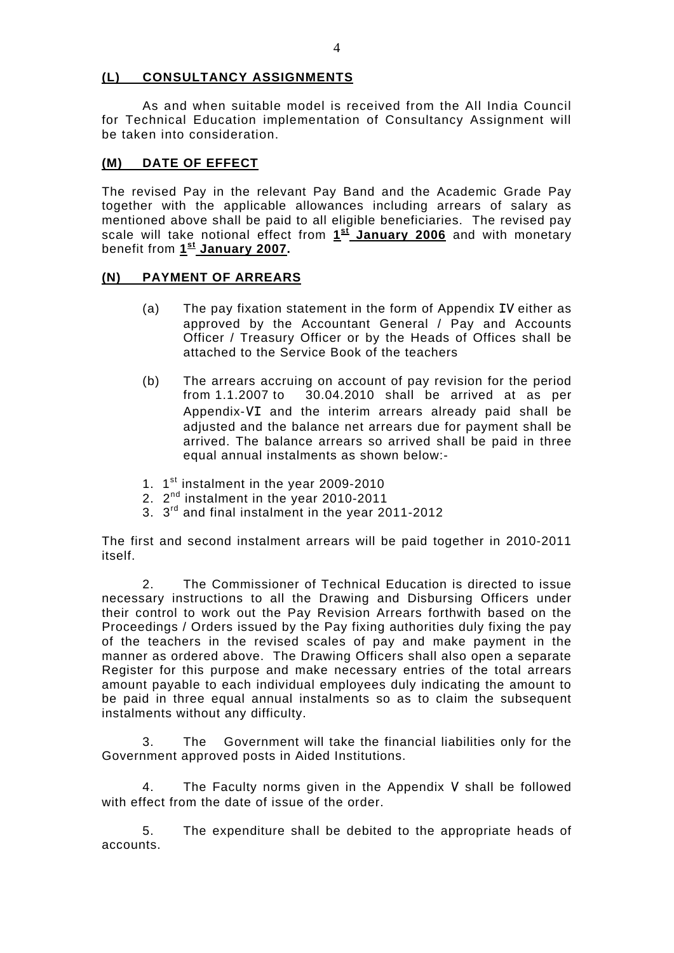#### **(L) CONSULTANCY ASSIGNMENTS**

 As and when suitable model is received from the All India Council for Technical Education implementation of Consultancy Assignment will be taken into consideration.

#### **(M) DATE OF EFFECT**

The revised Pay in the relevant Pay Band and the Academic Grade Pay together with the applicable allowances including arrears of salary as mentioned above shall be paid to all eligible beneficiaries. The revised pay scale will take notional effect from **1st January 2006** and with monetary benefit from **1st January 2007.** 

#### **(N) PAYMENT OF ARREARS**

- (a) The pay fixation statement in the form of Appendix IV either as approved by the Accountant General / Pay and Accounts Officer / Treasury Officer or by the Heads of Offices shall be attached to the Service Book of the teachers
- (b) The arrears accruing on account of pay revision for the period from 1.1.2007 to 30.04.2010 shall be arrived at as per Appendix-VI and the interim arrears already paid shall be adjusted and the balance net arrears due for payment shall be arrived. The balance arrears so arrived shall be paid in three equal annual instalments as shown below:-
- 1. 1<sup>st</sup> instalment in the year 2009-2010
- 2. 2<sup>nd</sup> instalment in the year 2010-2011
- 3. 3rd and final instalment in the year 2011-2012

The first and second instalment arrears will be paid together in 2010-2011 itself.

2. The Commissioner of Technical Education is directed to issue necessary instructions to all the Drawing and Disbursing Officers under their control to work out the Pay Revision Arrears forthwith based on the Proceedings / Orders issued by the Pay fixing authorities duly fixing the pay of the teachers in the revised scales of pay and make payment in the manner as ordered above. The Drawing Officers shall also open a separate Register for this purpose and make necessary entries of the total arrears amount payable to each individual employees duly indicating the amount to be paid in three equal annual instalments so as to claim the subsequent instalments without any difficulty.

 3. The Government will take the financial liabilities only for the Government approved posts in Aided Institutions.

 4. The Faculty norms given in the Appendix V shall be followed with effect from the date of issue of the order.

 5. The expenditure shall be debited to the appropriate heads of accounts.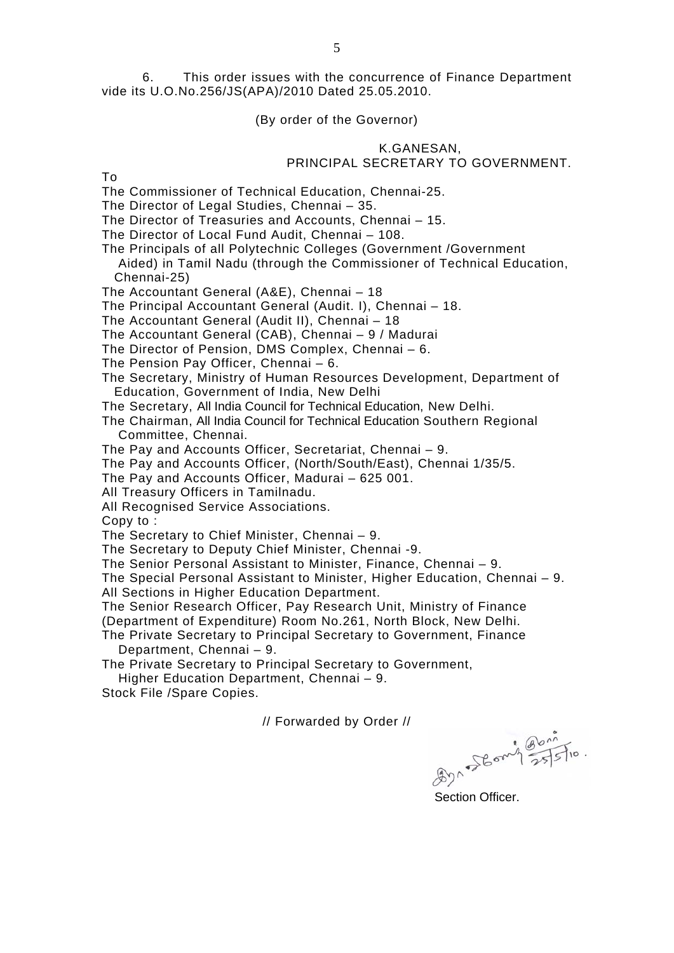6. This order issues with the concurrence of Finance Department vide its U.O.No.256/JS(APA)/2010 Dated 25.05.2010.

#### (By order of the Governor)

#### K.GANESAN, PRINCIPAL SECRETARY TO GOVERNMENT.

To

The Commissioner of Technical Education, Chennai-25.

The Director of Legal Studies, Chennai – 35.

The Director of Treasuries and Accounts, Chennai – 15.

The Director of Local Fund Audit, Chennai – 108.

The Principals of all Polytechnic Colleges (Government /Government Aided) in Tamil Nadu (through the Commissioner of Technical Education, Chennai-25)

The Accountant General (A&E), Chennai – 18

The Principal Accountant General (Audit. I), Chennai – 18.

The Accountant General (Audit II), Chennai – 18

The Accountant General (CAB), Chennai – 9 / Madurai

The Director of Pension, DMS Complex, Chennai – 6.

The Pension Pay Officer, Chennai – 6.

The Secretary, Ministry of Human Resources Development, Department of Education, Government of India, New Delhi

The Secretary, All India Council for Technical Education, New Delhi.

The Chairman, All India Council for Technical Education Southern Regional Committee, Chennai.

The Pay and Accounts Officer, Secretariat, Chennai – 9.

The Pay and Accounts Officer, (North/South/East), Chennai 1/35/5.

The Pay and Accounts Officer, Madurai – 625 001.

All Treasury Officers in Tamilnadu.

All Recognised Service Associations.

Copy to :

The Secretary to Chief Minister, Chennai – 9.

The Secretary to Deputy Chief Minister, Chennai -9.

The Senior Personal Assistant to Minister, Finance, Chennai – 9.

The Special Personal Assistant to Minister, Higher Education, Chennai – 9. All Sections in Higher Education Department.

The Senior Research Officer, Pay Research Unit, Ministry of Finance

(Department of Expenditure) Room No.261, North Block, New Delhi.

The Private Secretary to Principal Secretary to Government, Finance Department, Chennai – 9.

The Private Secretary to Principal Secretary to Government,

Higher Education Department, Chennai – 9.

Stock File /Spare Copies.

// Forwarded by Order //

831 58 om 1 25/5/10

Section Officer.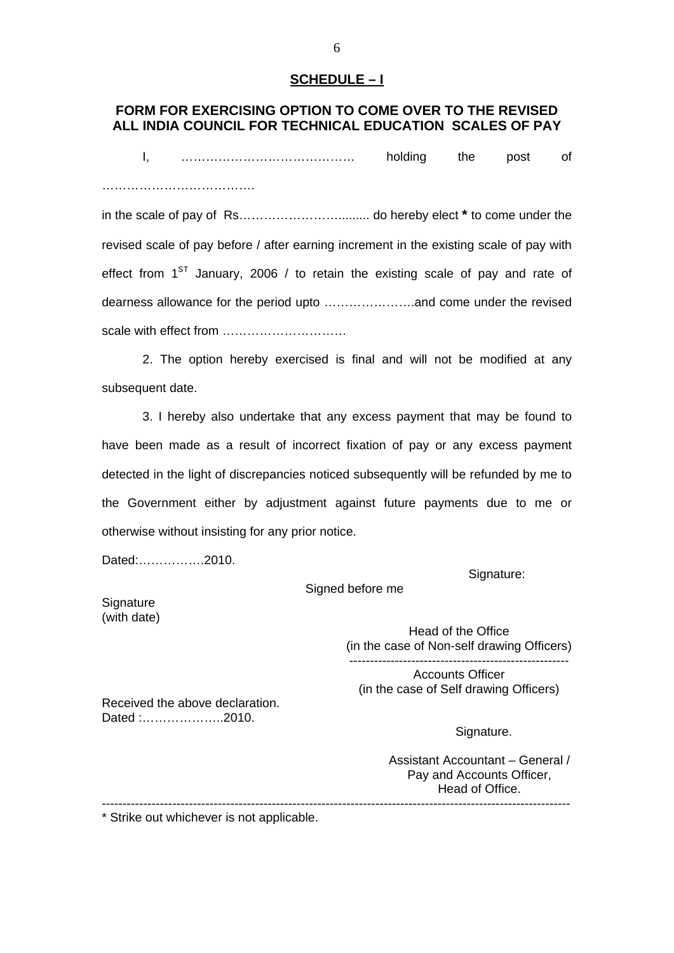#### **SCHEDULE – I**

# **FORM FOR EXERCISING OPTION TO COME OVER TO THE REVISED ALL INDIA COUNCIL FOR TECHNICAL EDUCATION SCALES OF PAY**

I, …………………………………… holding the post of …………………………………………

in the scale of pay of Rs……………………......... do hereby elect **\*** to come under the revised scale of pay before / after earning increment in the existing scale of pay with effect from  $1^{ST}$  January, 2006 / to retain the existing scale of pay and rate of dearness allowance for the period upto ………………….and come under the revised scale with effect from …………………………

2. The option hereby exercised is final and will not be modified at any subsequent date.

3. I hereby also undertake that any excess payment that may be found to have been made as a result of incorrect fixation of pay or any excess payment detected in the light of discrepancies noticed subsequently will be refunded by me to the Government either by adjustment against future payments due to me or otherwise without insisting for any prior notice.

Signed before me

Dated:…………….2010.

Signature:

**Signature** (with date)

> Head of the Office (in the case of Non-self drawing Officers) -----------------------------------------------------

Accounts Officer (in the case of Self drawing Officers)

Received the above declaration. Dated :………………..2010.

Signature.

Assistant Accountant – General / Pay and Accounts Officer, Head of Office. -----------------------------------------------------------------------------------------------------------------

\* Strike out whichever is not applicable.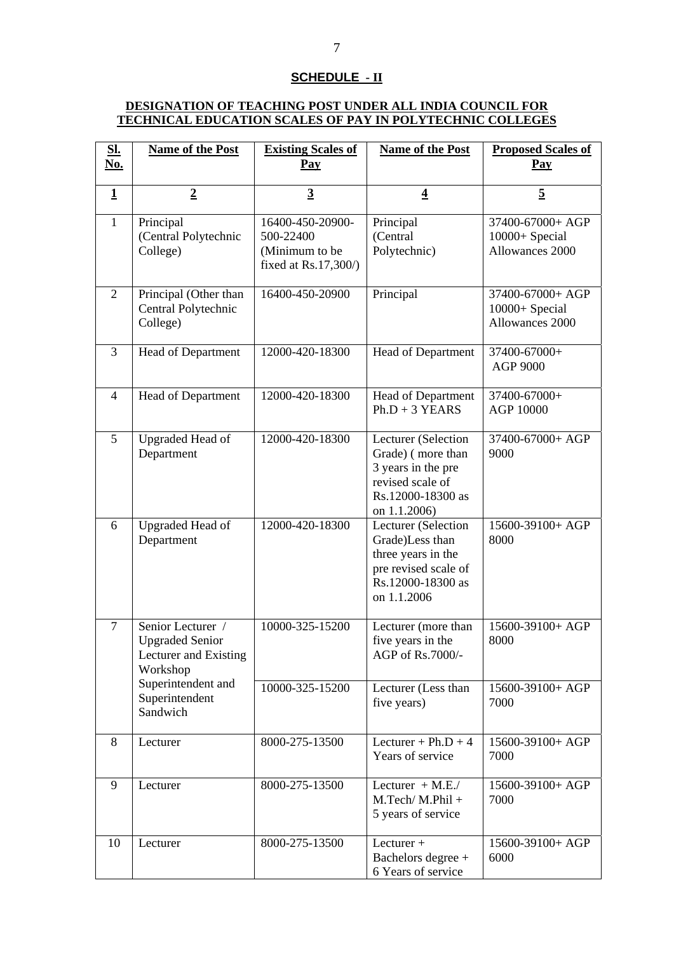#### **SCHEDULE - II**

#### **DESIGNATION OF TEACHING POST UNDER ALL INDIA COUNCIL FOR TECHNICAL EDUCATION SCALES OF PAY IN POLYTECHNIC COLLEGES**

| <b>SI.</b><br><u>No.</u> | <b>Name of the Post</b>                                                          | <b>Existing Scales of</b><br>Pay                                        | <b>Name of the Post</b>                                                                                                  | <b>Proposed Scales of</b><br>Pay                      |
|--------------------------|----------------------------------------------------------------------------------|-------------------------------------------------------------------------|--------------------------------------------------------------------------------------------------------------------------|-------------------------------------------------------|
| $\mathbf 1$              | $\overline{2}$                                                                   | $\overline{3}$                                                          | $\overline{4}$                                                                                                           | $\overline{5}$                                        |
| $\mathbf{1}$             | Principal<br>(Central Polytechnic<br>College)                                    | 16400-450-20900-<br>500-22400<br>(Minimum to be<br>fixed at Rs.17,300/) | Principal<br>(Central<br>Polytechnic)                                                                                    | 37400-67000+ AGP<br>10000+ Special<br>Allowances 2000 |
| $\overline{2}$           | Principal (Other than<br>Central Polytechnic<br>College)                         | 16400-450-20900                                                         | Principal                                                                                                                | 37400-67000+ AGP<br>10000+ Special<br>Allowances 2000 |
| 3                        | Head of Department                                                               | 12000-420-18300                                                         | Head of Department                                                                                                       | 37400-67000+<br>AGP 9000                              |
| $\overline{4}$           | Head of Department                                                               | 12000-420-18300                                                         | Head of Department<br>$Ph.D + 3$ YEARS                                                                                   | 37400-67000+<br>AGP 10000                             |
| 5                        | <b>Upgraded Head of</b><br>Department                                            | 12000-420-18300                                                         | Lecturer (Selection<br>Grade) (more than<br>3 years in the pre<br>revised scale of<br>Rs.12000-18300 as<br>on 1.1.2006)  | 37400-67000+ AGP<br>9000                              |
| 6                        | <b>Upgraded Head of</b><br>Department                                            | 12000-420-18300                                                         | Lecturer (Selection<br>Grade)Less than<br>three years in the<br>pre revised scale of<br>Rs.12000-18300 as<br>on 1.1.2006 | 15600-39100+ AGP<br>8000                              |
| $\overline{7}$           | Senior Lecturer /<br><b>Upgraded Senior</b><br>Lecturer and Existing<br>Workshop | 10000-325-15200                                                         | Lecturer (more than<br>five years in the<br>AGP of Rs.7000/-                                                             | 15600-39100+ AGP<br>8000                              |
|                          | Superintendent and<br>Superintendent<br>Sandwich                                 | 10000-325-15200                                                         | Lecturer (Less than<br>five years)                                                                                       | 15600-39100+ AGP<br>7000                              |
| 8                        | Lecturer                                                                         | 8000-275-13500                                                          | Lecturer + $Ph.D + 4$<br>Years of service                                                                                | 15600-39100+ AGP<br>7000                              |
| 9                        | Lecturer                                                                         | 8000-275-13500                                                          | Lecturer $+$ M.E./<br>$M.Tech/M.Phil +$<br>5 years of service                                                            | 15600-39100+ AGP<br>7000                              |
| 10                       | Lecturer                                                                         | 8000-275-13500                                                          | $L$ ecturer +<br>Bachelors degree +<br>6 Years of service                                                                | 15600-39100+ AGP<br>6000                              |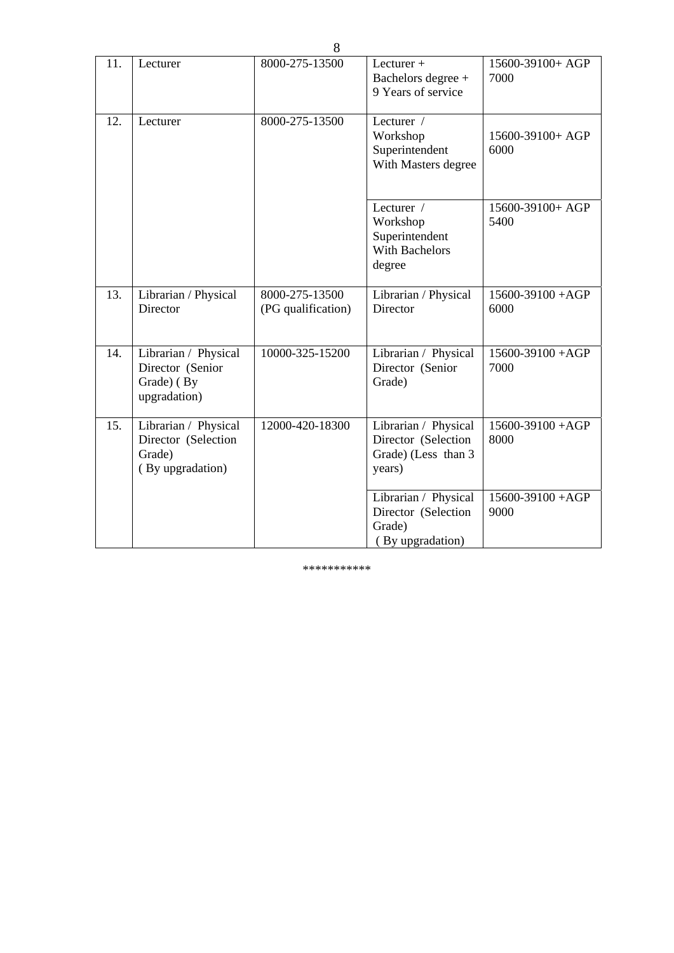| 11. | Lecturer                                                                  | 8000-275-13500                       | Lecturer $+$<br>Bachelors degree +<br>9 Years of service                     | 15600-39100+ AGP<br>7000      |
|-----|---------------------------------------------------------------------------|--------------------------------------|------------------------------------------------------------------------------|-------------------------------|
| 12. | Lecturer                                                                  | 8000-275-13500                       | Lecturer /<br>Workshop<br>Superintendent<br>With Masters degree              | 15600-39100+ AGP<br>6000      |
|     |                                                                           |                                      | Lecturer /<br>Workshop<br>Superintendent<br>With Bachelors<br>degree         | 15600-39100+ AGP<br>5400      |
| 13. | Librarian / Physical<br>Director                                          | 8000-275-13500<br>(PG qualification) | Librarian / Physical<br>Director                                             | 15600-39100 + AGP<br>6000     |
| 14. | Librarian / Physical<br>Director (Senior<br>Grade) (By<br>upgradation)    | 10000-325-15200                      | Librarian / Physical<br>Director (Senior<br>Grade)                           | $15600 - 39100 + AGP$<br>7000 |
| 15. | Librarian / Physical<br>Director (Selection<br>Grade)<br>(By upgradation) | 12000-420-18300                      | Librarian / Physical<br>Director (Selection<br>Grade) (Less than 3<br>years) | 15600-39100 + AGP<br>8000     |
|     |                                                                           |                                      | Librarian / Physical<br>Director (Selection<br>Grade)<br>(By upgradation)    | $15600 - 39100 + AGP$<br>9000 |

\*\*\*\*\*\*\*\*\*\*\*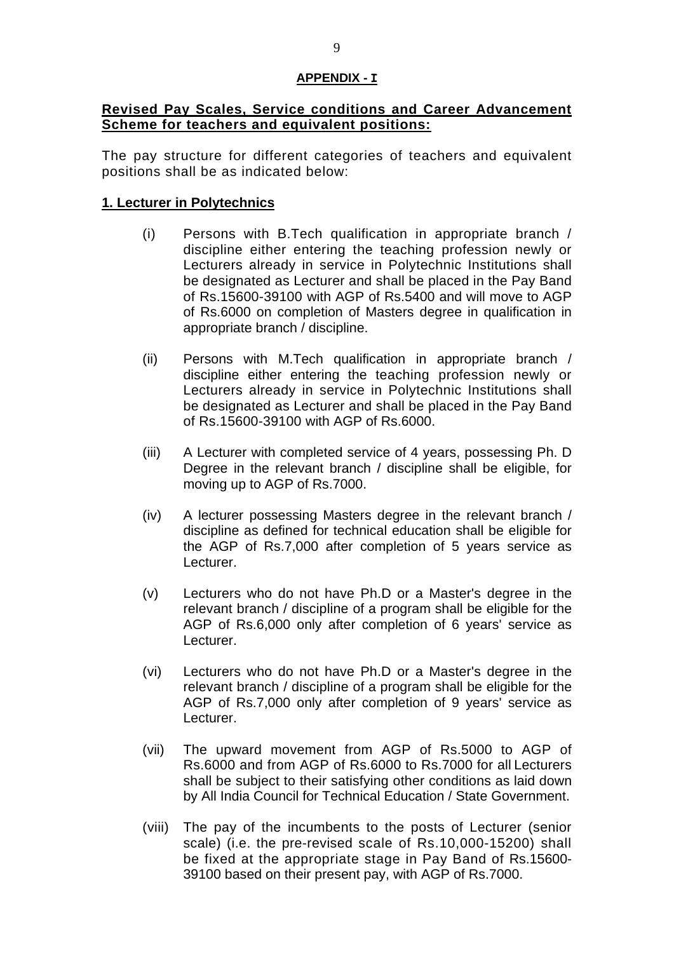## **APPENDIX - I**

# **Revised Pay Scales, Service conditions and Career Advancement Scheme for teachers and equivalent positions:**

The pay structure for different categories of teachers and equivalent positions shall be as indicated below:

# **1. Lecturer in Polytechnics**

- (i) Persons with B.Tech qualification in appropriate branch / discipline either entering the teaching profession newly or Lecturers already in service in Polytechnic Institutions shall be designated as Lecturer and shall be placed in the Pay Band of Rs.15600-39100 with AGP of Rs.5400 and will move to AGP of Rs.6000 on completion of Masters degree in qualification in appropriate branch / discipline.
- (ii) Persons with M.Tech qualification in appropriate branch / discipline either entering the teaching profession newly or Lecturers already in service in Polytechnic Institutions shall be designated as Lecturer and shall be placed in the Pay Band of Rs.15600-39100 with AGP of Rs.6000.
- (iii) A Lecturer with completed service of 4 years, possessing Ph. D Degree in the relevant branch / discipline shall be eligible, for moving up to AGP of Rs.7000.
- (iv) A lecturer possessing Masters degree in the relevant branch / discipline as defined for technical education shall be eligible for the AGP of Rs.7,000 after completion of 5 years service as Lecturer.
- (v) Lecturers who do not have Ph.D or a Master's degree in the relevant branch / discipline of a program shall be eligible for the AGP of Rs.6,000 only after completion of 6 years' service as Lecturer.
- (vi) Lecturers who do not have Ph.D or a Master's degree in the relevant branch / discipline of a program shall be eligible for the AGP of Rs.7,000 only after completion of 9 years' service as Lecturer.
- (vii) The upward movement from AGP of Rs.5000 to AGP of Rs.6000 and from AGP of Rs.6000 to Rs.7000 for all Lecturers shall be subject to their satisfying other conditions as laid down by All India Council for Technical Education / State Government.
- (viii) The pay of the incumbents to the posts of Lecturer (senior scale) (i.e. the pre-revised scale of Rs.10,000-15200) shall be fixed at the appropriate stage in Pay Band of Rs.15600- 39100 based on their present pay, with AGP of Rs.7000.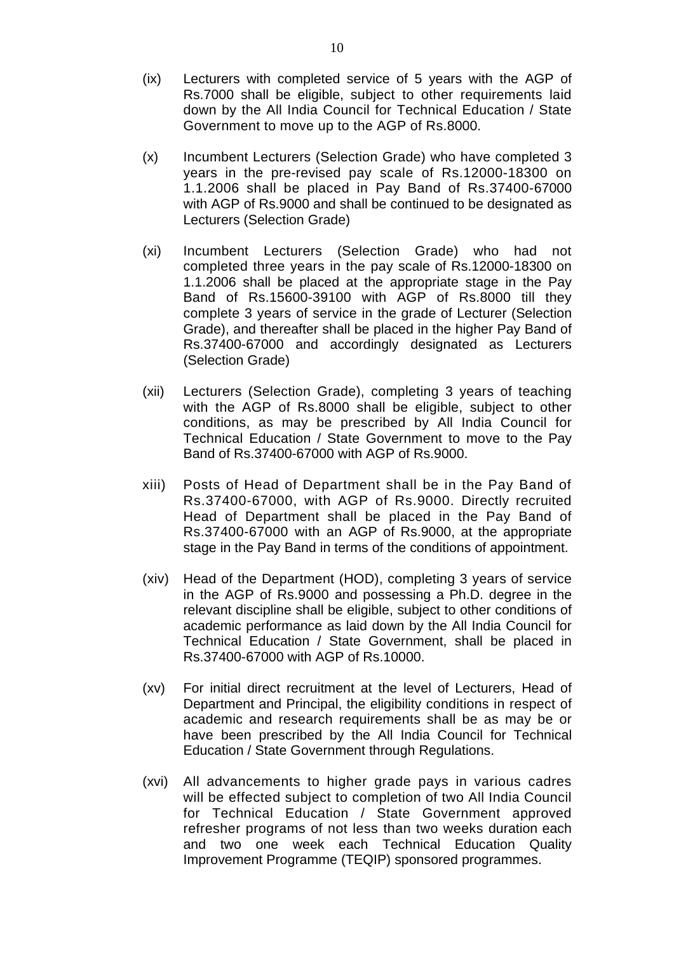- (ix) Lecturers with completed service of 5 years with the AGP of Rs.7000 shall be eligible, subject to other requirements laid down by the All India Council for Technical Education / State Government to move up to the AGP of Rs.8000.
- (x) Incumbent Lecturers (Selection Grade) who have completed 3 years in the pre-revised pay scale of Rs.12000-18300 on 1.1.2006 shall be placed in Pay Band of Rs.37400-67000 with AGP of Rs.9000 and shall be continued to be designated as Lecturers (Selection Grade)
- (xi) Incumbent Lecturers (Selection Grade) who had not completed three years in the pay scale of Rs.12000-18300 on 1.1.2006 shall be placed at the appropriate stage in the Pay Band of Rs.15600-39100 with AGP of Rs.8000 till they complete 3 years of service in the grade of Lecturer (Selection Grade), and thereafter shall be placed in the higher Pay Band of Rs.37400-67000 and accordingly designated as Lecturers (Selection Grade)
- (xii) Lecturers (Selection Grade), completing 3 years of teaching with the AGP of Rs.8000 shall be eligible, subject to other conditions, as may be prescribed by All India Council for Technical Education / State Government to move to the Pay Band of Rs.37400-67000 with AGP of Rs.9000.
- xiii) Posts of Head of Department shall be in the Pay Band of Rs.37400-67000, with AGP of Rs.9000. Directly recruited Head of Department shall be placed in the Pay Band of Rs.37400-67000 with an AGP of Rs.9000, at the appropriate stage in the Pay Band in terms of the conditions of appointment.
- (xiv) Head of the Department (HOD), completing 3 years of service in the AGP of Rs.9000 and possessing a Ph.D. degree in the relevant discipline shall be eligible, subject to other conditions of academic performance as laid down by the All India Council for Technical Education / State Government, shall be placed in Rs.37400-67000 with AGP of Rs.10000.
- (xv) For initial direct recruitment at the level of Lecturers, Head of Department and Principal, the eligibility conditions in respect of academic and research requirements shall be as may be or have been prescribed by the All India Council for Technical Education / State Government through Regulations.
- (xvi) All advancements to higher grade pays in various cadres will be effected subject to completion of two All India Council for Technical Education / State Government approved refresher programs of not less than two weeks duration each and two one week each Technical Education Quality Improvement Programme (TEQIP) sponsored programmes.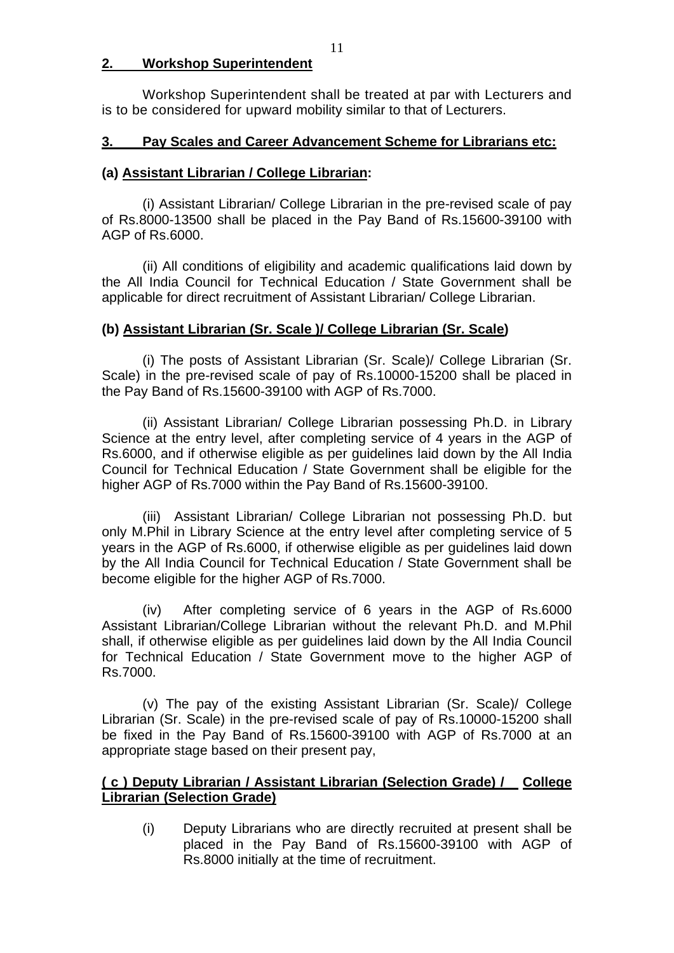# **2. Workshop Superintendent**

Workshop Superintendent shall be treated at par with Lecturers and is to be considered for upward mobility similar to that of Lecturers.

# **3. Pay Scales and Career Advancement Scheme for Librarians etc:**

## **(a) Assistant Librarian / College Librarian:**

 (i) Assistant Librarian/ College Librarian in the pre-revised scale of pay of Rs.8000-13500 shall be placed in the Pay Band of Rs.15600-39100 with AGP of Rs.6000.

 (ii) All conditions of eligibility and academic qualifications laid down by the All India Council for Technical Education / State Government shall be applicable for direct recruitment of Assistant Librarian/ College Librarian.

# **(b) Assistant Librarian (Sr. Scale )/ College Librarian (Sr. Scale)**

 (i) The posts of Assistant Librarian (Sr. Scale)/ College Librarian (Sr. Scale) in the pre-revised scale of pay of Rs.10000-15200 shall be placed in the Pay Band of Rs.15600-39100 with AGP of Rs.7000.

 (ii) Assistant Librarian/ College Librarian possessing Ph.D. in Library Science at the entry level, after completing service of 4 years in the AGP of Rs.6000, and if otherwise eligible as per guidelines laid down by the All India Council for Technical Education / State Government shall be eligible for the higher AGP of Rs.7000 within the Pay Band of Rs.15600-39100.

(iii) Assistant Librarian/ College Librarian not possessing Ph.D. but only M.Phil in Library Science at the entry level after completing service of 5 years in the AGP of Rs.6000, if otherwise eligible as per guidelines laid down by the All India Council for Technical Education / State Government shall be become eligible for the higher AGP of Rs.7000.

(iv) After completing service of 6 years in the AGP of Rs.6000 Assistant Librarian/College Librarian without the relevant Ph.D. and M.Phil shall, if otherwise eligible as per guidelines laid down by the All India Council for Technical Education / State Government move to the higher AGP of Rs.7000.

 (v) The pay of the existing Assistant Librarian (Sr. Scale)/ College Librarian (Sr. Scale) in the pre-revised scale of pay of Rs.10000-15200 shall be fixed in the Pay Band of Rs.15600-39100 with AGP of Rs.7000 at an appropriate stage based on their present pay,

# **( c ) Deputy Librarian / Assistant Librarian (Selection Grade) / College Librarian (Selection Grade)**

(i) Deputy Librarians who are directly recruited at present shall be placed in the Pay Band of Rs.15600-39100 with AGP of Rs.8000 initially at the time of recruitment.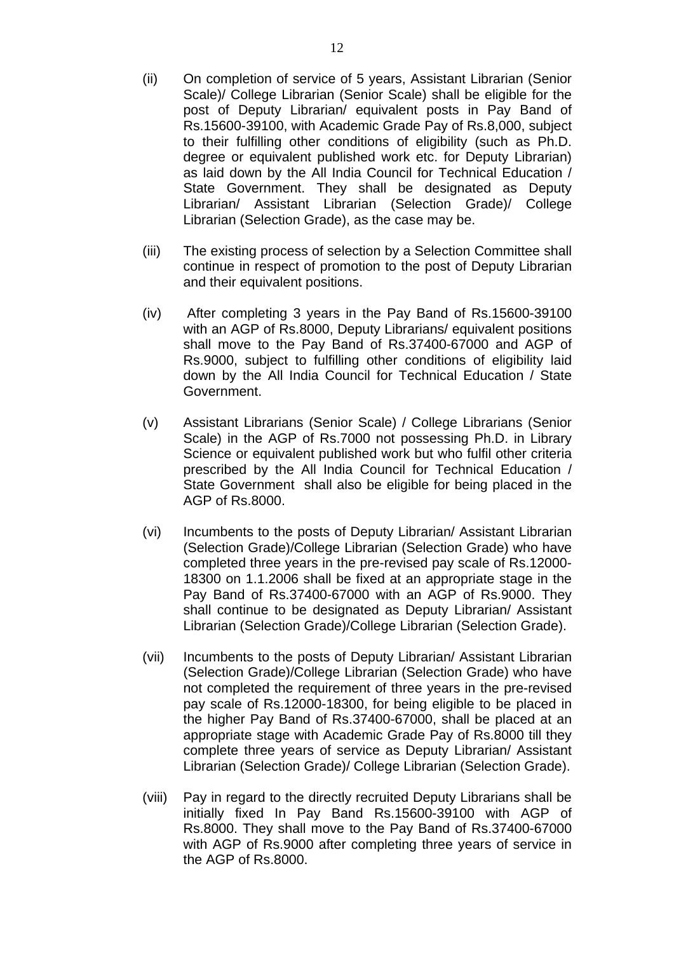- (ii) On completion of service of 5 years, Assistant Librarian (Senior Scale)/ College Librarian (Senior Scale) shall be eligible for the post of Deputy Librarian/ equivalent posts in Pay Band of Rs.15600-39100, with Academic Grade Pay of Rs.8,000, subject to their fulfilling other conditions of eligibility (such as Ph.D. degree or equivalent published work etc. for Deputy Librarian) as laid down by the All India Council for Technical Education / State Government. They shall be designated as Deputy Librarian/ Assistant Librarian (Selection Grade)/ College Librarian (Selection Grade), as the case may be.
- (iii) The existing process of selection by a Selection Committee shall continue in respect of promotion to the post of Deputy Librarian and their equivalent positions.
- (iv) After completing 3 years in the Pay Band of Rs.15600-39100 with an AGP of Rs.8000, Deputy Librarians/ equivalent positions shall move to the Pay Band of Rs.37400-67000 and AGP of Rs.9000, subject to fulfilling other conditions of eligibility laid down by the All India Council for Technical Education / State Government.
- (v) Assistant Librarians (Senior Scale) / College Librarians (Senior Scale) in the AGP of Rs.7000 not possessing Ph.D. in Library Science or equivalent published work but who fulfil other criteria prescribed by the All India Council for Technical Education / State Government shall also be eligible for being placed in the AGP of Rs.8000.
- (vi) Incumbents to the posts of Deputy Librarian/ Assistant Librarian (Selection Grade)/College Librarian (Selection Grade) who have completed three years in the pre-revised pay scale of Rs.12000- 18300 on 1.1.2006 shall be fixed at an appropriate stage in the Pay Band of Rs.37400-67000 with an AGP of Rs.9000. They shall continue to be designated as Deputy Librarian/ Assistant Librarian (Selection Grade)/College Librarian (Selection Grade).
- (vii) Incumbents to the posts of Deputy Librarian/ Assistant Librarian (Selection Grade)/College Librarian (Selection Grade) who have not completed the requirement of three years in the pre-revised pay scale of Rs.12000-18300, for being eligible to be placed in the higher Pay Band of Rs.37400-67000, shall be placed at an appropriate stage with Academic Grade Pay of Rs.8000 till they complete three years of service as Deputy Librarian/ Assistant Librarian (Selection Grade)/ College Librarian (Selection Grade).
- (viii) Pay in regard to the directly recruited Deputy Librarians shall be initially fixed In Pay Band Rs.15600-39100 with AGP of Rs.8000. They shall move to the Pay Band of Rs.37400-67000 with AGP of Rs.9000 after completing three years of service in the AGP of Rs.8000.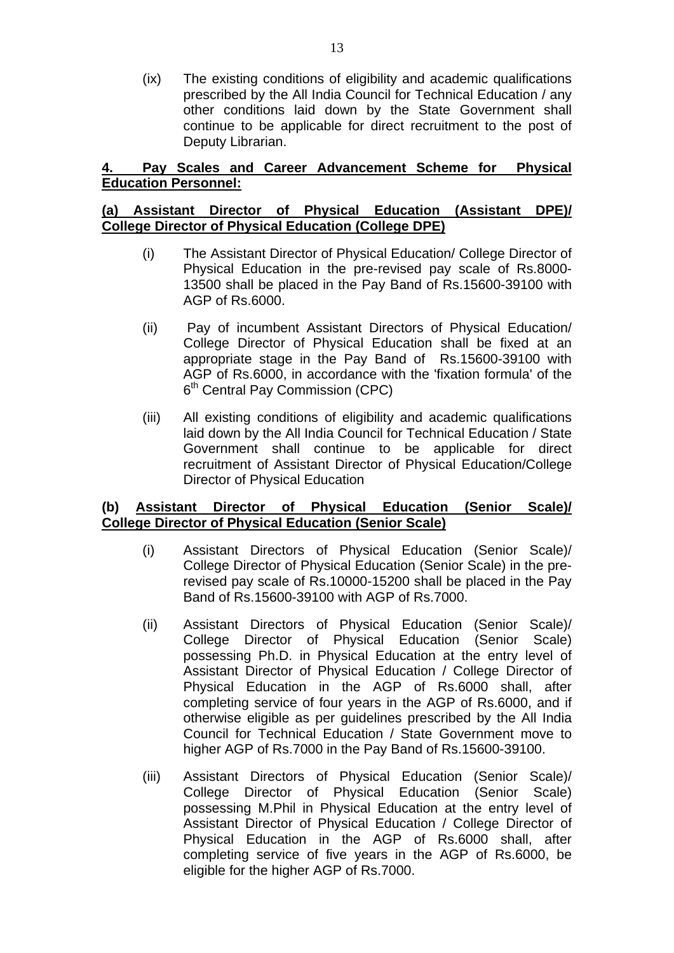(ix) The existing conditions of eligibility and academic qualifications prescribed by the All India Council for Technical Education / any other conditions laid down by the State Government shall continue to be applicable for direct recruitment to the post of Deputy Librarian.

# **4. Pay Scales and Career Advancement Scheme for Physical Education Personnel:**

# **(a) Assistant Director of Physical Education (Assistant DPE)/ College Director of Physical Education (College DPE)**

- (i) The Assistant Director of Physical Education/ College Director of Physical Education in the pre-revised pay scale of Rs.8000- 13500 shall be placed in the Pay Band of Rs.15600-39100 with AGP of Rs.6000.
- (ii) Pay of incumbent Assistant Directors of Physical Education/ College Director of Physical Education shall be fixed at an appropriate stage in the Pay Band of Rs.15600-39100 with AGP of Rs.6000, in accordance with the 'fixation formula' of the 6<sup>th</sup> Central Pay Commission (CPC)
- (iii) All existing conditions of eligibility and academic qualifications laid down by the All India Council for Technical Education / State Government shall continue to be applicable for direct recruitment of Assistant Director of Physical Education/College Director of Physical Education

# **(b) Assistant Director of Physical Education (Senior Scale)/ College Director of Physical Education (Senior Scale)**

- (i) Assistant Directors of Physical Education (Senior Scale)/ College Director of Physical Education (Senior Scale) in the prerevised pay scale of Rs.10000-15200 shall be placed in the Pay Band of Rs.15600-39100 with AGP of Rs.7000.
- (ii) Assistant Directors of Physical Education (Senior Scale)/ College Director of Physical Education (Senior Scale) possessing Ph.D. in Physical Education at the entry level of Assistant Director of Physical Education / College Director of Physical Education in the AGP of Rs.6000 shall, after completing service of four years in the AGP of Rs.6000, and if otherwise eligible as per guidelines prescribed by the All India Council for Technical Education / State Government move to higher AGP of Rs.7000 in the Pay Band of Rs.15600-39100.
- (iii) Assistant Directors of Physical Education (Senior Scale)/ College Director of Physical Education (Senior Scale) possessing M.Phil in Physical Education at the entry level of Assistant Director of Physical Education / College Director of Physical Education in the AGP of Rs.6000 shall, after completing service of five years in the AGP of Rs.6000, be eligible for the higher AGP of Rs.7000.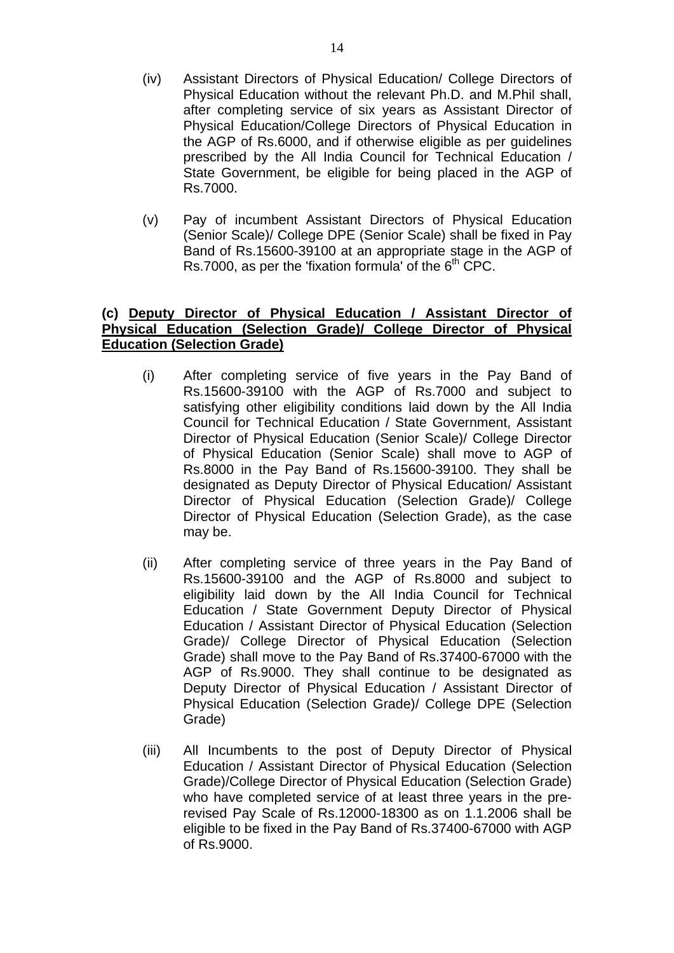- (iv) Assistant Directors of Physical Education/ College Directors of Physical Education without the relevant Ph.D. and M.Phil shall, after completing service of six years as Assistant Director of Physical Education/College Directors of Physical Education in the AGP of Rs.6000, and if otherwise eligible as per guidelines prescribed by the All India Council for Technical Education / State Government, be eligible for being placed in the AGP of Rs.7000.
- (v) Pay of incumbent Assistant Directors of Physical Education (Senior Scale)/ College DPE (Senior Scale) shall be fixed in Pay Band of Rs.15600-39100 at an appropriate stage in the AGP of Rs.7000, as per the 'fixation formula' of the  $6<sup>th</sup>$  CPC.

# **(c) Deputy Director of Physical Education / Assistant Director of Physical Education (Selection Grade)/ College Director of Physical Education (Selection Grade)**

- (i) After completing service of five years in the Pay Band of Rs.15600-39100 with the AGP of Rs.7000 and subject to satisfying other eligibility conditions laid down by the All India Council for Technical Education / State Government, Assistant Director of Physical Education (Senior Scale)/ College Director of Physical Education (Senior Scale) shall move to AGP of Rs.8000 in the Pay Band of Rs.15600-39100. They shall be designated as Deputy Director of Physical Education/ Assistant Director of Physical Education (Selection Grade)/ College Director of Physical Education (Selection Grade), as the case may be.
- (ii) After completing service of three years in the Pay Band of Rs.15600-39100 and the AGP of Rs.8000 and subject to eligibility laid down by the All India Council for Technical Education / State Government Deputy Director of Physical Education / Assistant Director of Physical Education (Selection Grade)/ College Director of Physical Education (Selection Grade) shall move to the Pay Band of Rs.37400-67000 with the AGP of Rs.9000. They shall continue to be designated as Deputy Director of Physical Education / Assistant Director of Physical Education (Selection Grade)/ College DPE (Selection Grade)
- (iii) All Incumbents to the post of Deputy Director of Physical Education / Assistant Director of Physical Education (Selection Grade)/College Director of Physical Education (Selection Grade) who have completed service of at least three years in the prerevised Pay Scale of Rs.12000-18300 as on 1.1.2006 shall be eligible to be fixed in the Pay Band of Rs.37400-67000 with AGP of Rs.9000.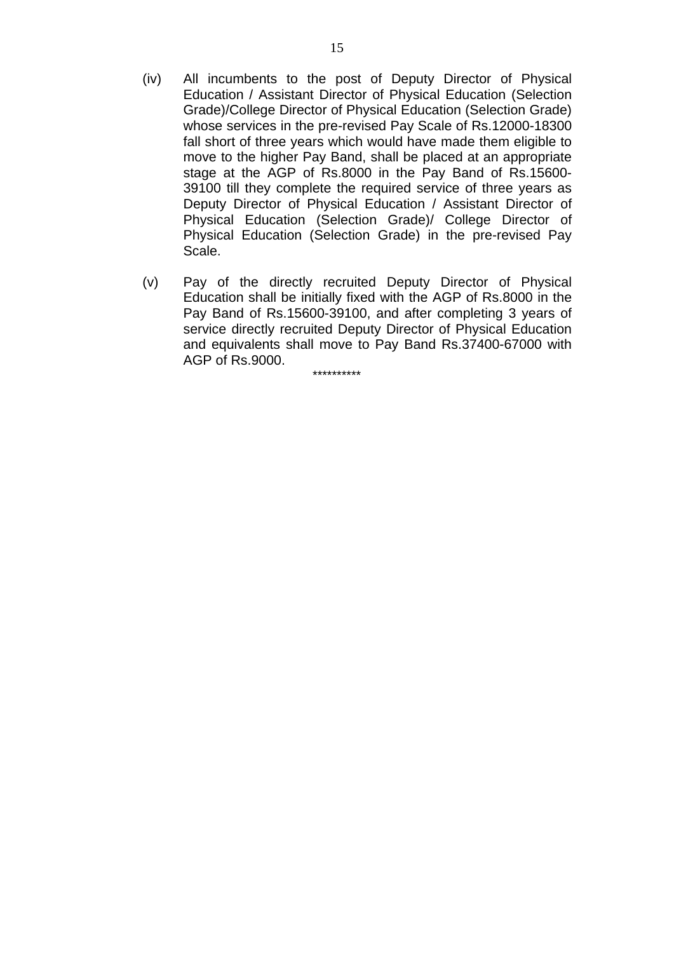- (iv) All incumbents to the post of Deputy Director of Physical Education / Assistant Director of Physical Education (Selection Grade)/College Director of Physical Education (Selection Grade) whose services in the pre-revised Pay Scale of Rs.12000-18300 fall short of three years which would have made them eligible to move to the higher Pay Band, shall be placed at an appropriate stage at the AGP of Rs.8000 in the Pay Band of Rs.15600- 39100 till they complete the required service of three years as Deputy Director of Physical Education / Assistant Director of Physical Education (Selection Grade)/ College Director of Physical Education (Selection Grade) in the pre-revised Pay Scale.
- (v) Pay of the directly recruited Deputy Director of Physical Education shall be initially fixed with the AGP of Rs.8000 in the Pay Band of Rs.15600-39100, and after completing 3 years of service directly recruited Deputy Director of Physical Education and equivalents shall move to Pay Band Rs.37400-67000 with AGP of Rs.9000.

\*\*\*\*\*\*\*\*\*\*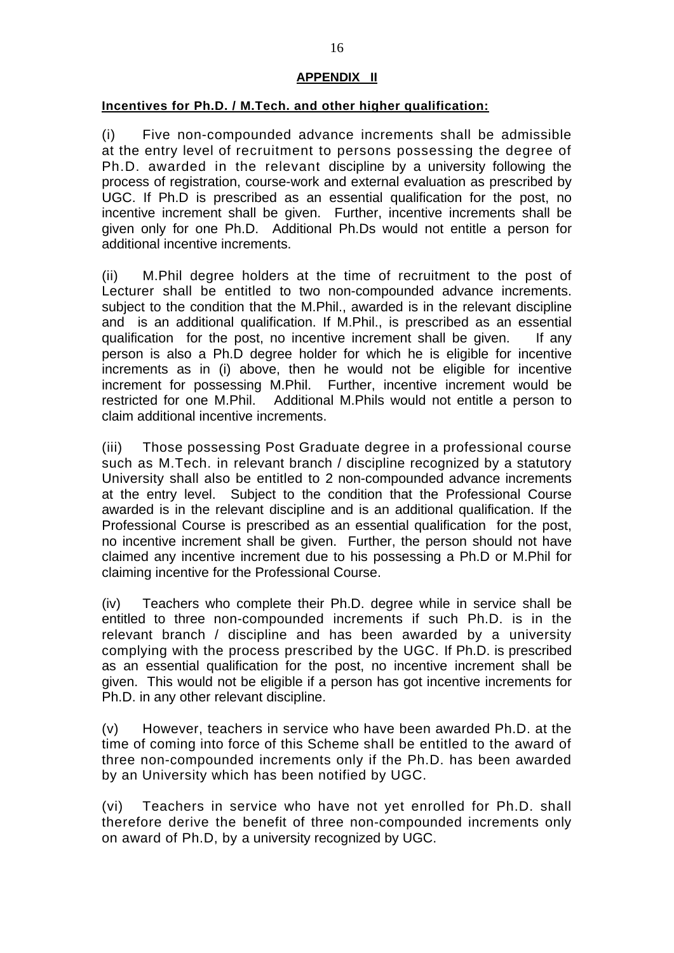# **APPENDIX II**

## **Incentives for Ph.D. / M.Tech. and other higher qualification:**

(i) Five non-compounded advance increments shall be admissible at the entry level of recruitment to persons possessing the degree of Ph.D. awarded in the relevant discipline by a university following the process of registration, course-work and external evaluation as prescribed by UGC. If Ph.D is prescribed as an essential qualification for the post, no incentive increment shall be given. Further, incentive increments shall be given only for one Ph.D. Additional Ph.Ds would not entitle a person for additional incentive increments.

(ii) M.Phil degree holders at the time of recruitment to the post of Lecturer shall be entitled to two non-compounded advance increments. subject to the condition that the M.Phil., awarded is in the relevant discipline and is an additional qualification. If M.Phil., is prescribed as an essential qualification for the post, no incentive increment shall be given. If any person is also a Ph.D degree holder for which he is eligible for incentive increments as in (i) above, then he would not be eligible for incentive increment for possessing M.Phil. Further, incentive increment would be restricted for one M.Phil. Additional M.Phils would not entitle a person to claim additional incentive increments.

(iii) Those possessing Post Graduate degree in a professional course such as M.Tech. in relevant branch / discipline recognized by a statutory University shall also be entitled to 2 non-compounded advance increments at the entry level. Subject to the condition that the Professional Course awarded is in the relevant discipline and is an additional qualification. If the Professional Course is prescribed as an essential qualification for the post, no incentive increment shall be given. Further, the person should not have claimed any incentive increment due to his possessing a Ph.D or M.Phil for claiming incentive for the Professional Course.

(iv) Teachers who complete their Ph.D. degree while in service shall be entitled to three non-compounded increments if such Ph.D. is in the relevant branch / discipline and has been awarded by a university complying with the process prescribed by the UGC. If Ph.D. is prescribed as an essential qualification for the post, no incentive increment shall be given. This would not be eligible if a person has got incentive increments for Ph.D. in any other relevant discipline.

(v) However, teachers in service who have been awarded Ph.D. at the time of coming into force of this Scheme shall be entitled to the award of three non-compounded increments only if the Ph.D. has been awarded by an University which has been notified by UGC.

(vi) Teachers in service who have not yet enrolled for Ph.D. shall therefore derive the benefit of three non-compounded increments only on award of Ph.D, by a university recognized by UGC.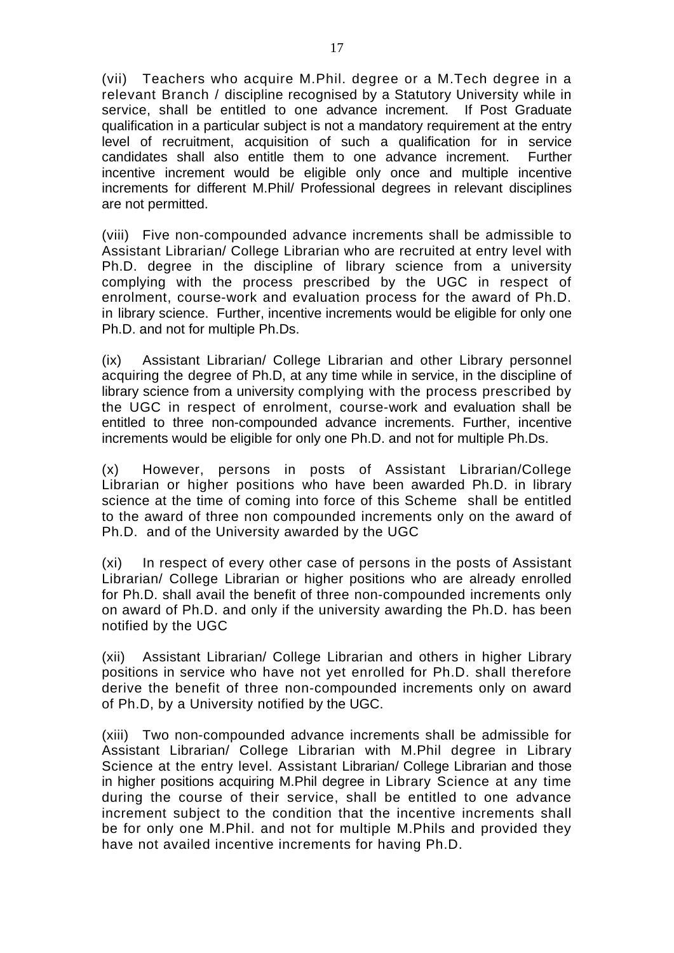(vii) Teachers who acquire M.Phil. degree or a M.Tech degree in a relevant Branch / discipline recognised by a Statutory University while in service, shall be entitled to one advance increment. If Post Graduate qualification in a particular subject is not a mandatory requirement at the entry level of recruitment, acquisition of such a qualification for in service candidates shall also entitle them to one advance increment. Further incentive increment would be eligible only once and multiple incentive increments for different M.Phil/ Professional degrees in relevant disciplines are not permitted.

(viii) Five non-compounded advance increments shall be admissible to Assistant Librarian/ College Librarian who are recruited at entry level with Ph.D. degree in the discipline of library science from a university complying with the process prescribed by the UGC in respect of enrolment, course-work and evaluation process for the award of Ph.D. in library science. Further, incentive increments would be eligible for only one Ph.D. and not for multiple Ph.Ds.

(ix) Assistant Librarian/ College Librarian and other Library personnel acquiring the degree of Ph.D, at any time while in service, in the discipline of library science from a university complying with the process prescribed by the UGC in respect of enrolment, course-work and evaluation shall be entitled to three non-compounded advance increments. Further, incentive increments would be eligible for only one Ph.D. and not for multiple Ph.Ds.

(x) However, persons in posts of Assistant Librarian/College Librarian or higher positions who have been awarded Ph.D. in library science at the time of coming into force of this Scheme shall be entitled to the award of three non compounded increments only on the award of Ph.D. and of the University awarded by the UGC

(xi) In respect of every other case of persons in the posts of Assistant Librarian/ College Librarian or higher positions who are already enrolled for Ph.D. shall avail the benefit of three non-compounded increments only on award of Ph.D. and only if the university awarding the Ph.D. has been notified by the UGC

(xii) Assistant Librarian/ College Librarian and others in higher Library positions in service who have not yet enrolled for Ph.D. shall therefore derive the benefit of three non-compounded increments only on award of Ph.D, by a University notified by the UGC.

(xiii) Two non-compounded advance increments shall be admissible for Assistant Librarian/ College Librarian with M.Phil degree in Library Science at the entry level. Assistant Librarian/ College Librarian and those in higher positions acquiring M.Phil degree in Library Science at any time during the course of their service, shall be entitled to one advance increment subject to the condition that the incentive increments shall be for only one M.Phil. and not for multiple M.Phils and provided they have not availed incentive increments for having Ph.D.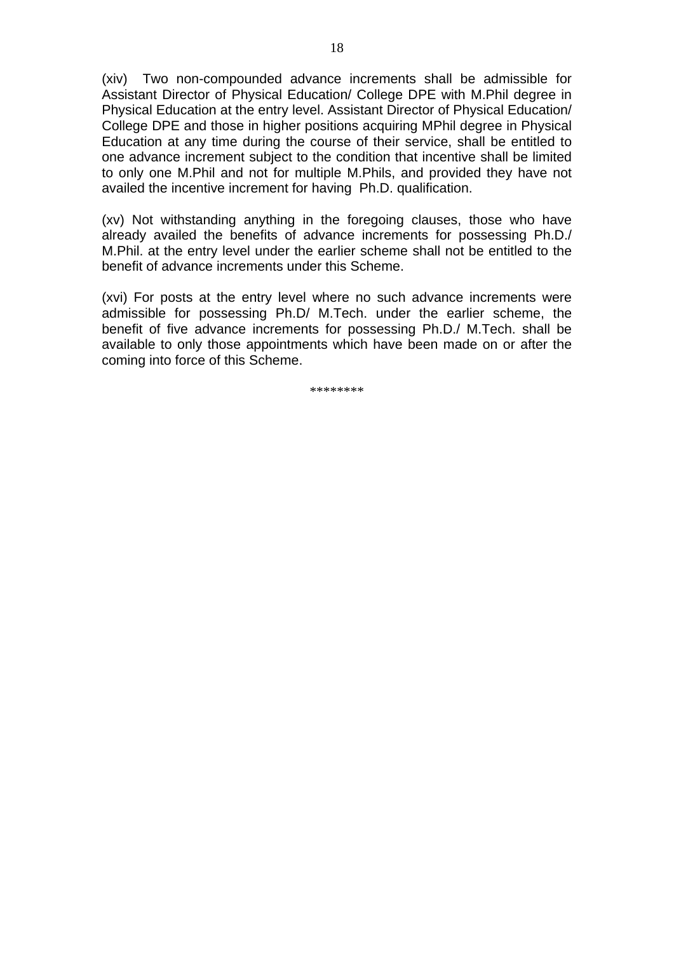(xiv) Two non-compounded advance increments shall be admissible for Assistant Director of Physical Education/ College DPE with M.Phil degree in Physical Education at the entry level. Assistant Director of Physical Education/ College DPE and those in higher positions acquiring MPhil degree in Physical Education at any time during the course of their service, shall be entitled to one advance increment subject to the condition that incentive shall be limited to only one M.Phil and not for multiple M.Phils, and provided they have not availed the incentive increment for having Ph.D. qualification.

(xv) Not withstanding anything in the foregoing clauses, those who have already availed the benefits of advance increments for possessing Ph.D./ M.Phil. at the entry level under the earlier scheme shall not be entitled to the benefit of advance increments under this Scheme.

(xvi) For posts at the entry level where no such advance increments were admissible for possessing Ph.D/ M.Tech. under the earlier scheme, the benefit of five advance increments for possessing Ph.D./ M.Tech. shall be available to only those appointments which have been made on or after the coming into force of this Scheme.

\*\*\*\*\*\*\*\*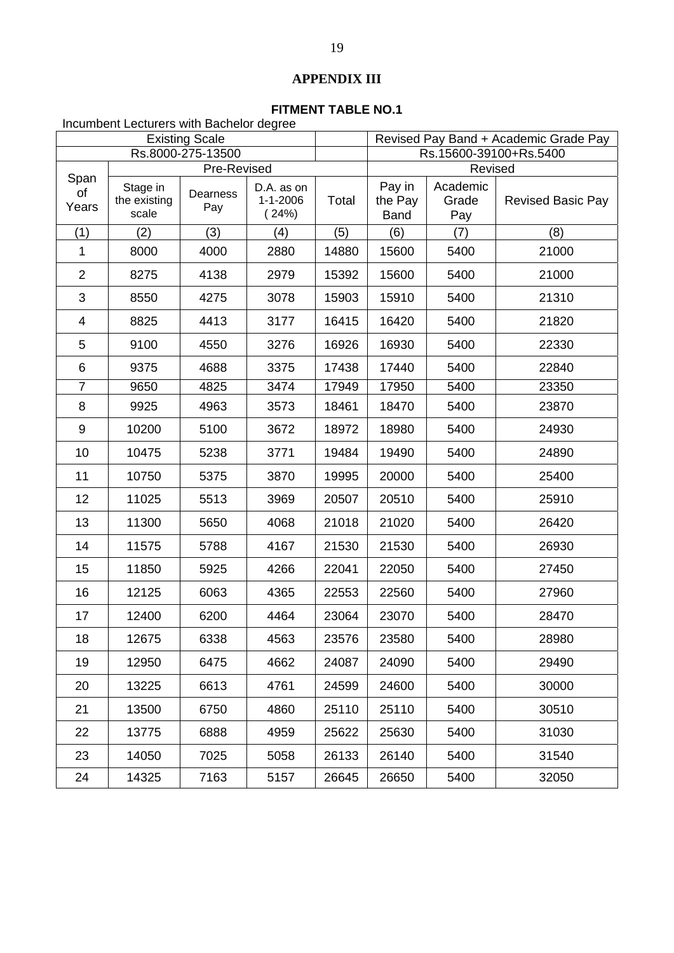# **APPENDIX III**

# **FITMENT TABLE NO.1**

Incumbent Lecturers with Bachelor degree

| <b>Existing Scale</b> |                                   |                                |                                       |       | Revised Pay Band + Academic Grade Pay |                                     |                          |
|-----------------------|-----------------------------------|--------------------------------|---------------------------------------|-------|---------------------------------------|-------------------------------------|--------------------------|
|                       |                                   | Rs.8000-275-13500              |                                       |       | Rs.15600-39100+Rs.5400                |                                     |                          |
| Span<br>of<br>Years   | Stage in<br>the existing<br>scale | Pre-Revised<br>Dearness<br>Pay | D.A. as on<br>$1 - 1 - 2006$<br>(24%) | Total | Pay in<br>the Pay<br><b>Band</b>      | Revised<br>Academic<br>Grade<br>Pay | <b>Revised Basic Pay</b> |
| (1)                   | (2)                               | (3)                            | (4)                                   | (5)   | (6)                                   | (7)                                 | (8)                      |
| 1                     | 8000                              | 4000                           | 2880                                  | 14880 | 15600                                 | 5400                                | 21000                    |
| $\overline{2}$        | 8275                              | 4138                           | 2979                                  | 15392 | 15600                                 | 5400                                | 21000                    |
| 3                     | 8550                              | 4275                           | 3078                                  | 15903 | 15910                                 | 5400                                | 21310                    |
| 4                     | 8825                              | 4413                           | 3177                                  | 16415 | 16420                                 | 5400                                | 21820                    |
| 5                     | 9100                              | 4550                           | 3276                                  | 16926 | 16930                                 | 5400                                | 22330                    |
| 6                     | 9375                              | 4688                           | 3375                                  | 17438 | 17440                                 | 5400                                | 22840                    |
| $\overline{7}$        | 9650                              | 4825                           | 3474                                  | 17949 | 17950                                 | 5400                                | 23350                    |
| 8                     | 9925                              | 4963                           | 3573                                  | 18461 | 18470                                 | 5400                                | 23870                    |
| 9                     | 10200                             | 5100                           | 3672                                  | 18972 | 18980                                 | 5400                                | 24930                    |
| 10                    | 10475                             | 5238                           | 3771                                  | 19484 | 19490                                 | 5400                                | 24890                    |
| 11                    | 10750                             | 5375                           | 3870                                  | 19995 | 20000                                 | 5400                                | 25400                    |
| 12                    | 11025                             | 5513                           | 3969                                  | 20507 | 20510                                 | 5400                                | 25910                    |
| 13                    | 11300                             | 5650                           | 4068                                  | 21018 | 21020                                 | 5400                                | 26420                    |
| 14                    | 11575                             | 5788                           | 4167                                  | 21530 | 21530                                 | 5400                                | 26930                    |
| 15                    | 11850                             | 5925                           | 4266                                  | 22041 | 22050                                 | 5400                                | 27450                    |
| 16                    | 12125                             | 6063                           | 4365                                  | 22553 | 22560                                 | 5400                                | 27960                    |
| 17                    | 12400                             | 6200                           | 4464                                  | 23064 | 23070                                 | 5400                                | 28470                    |
| 18                    | 12675                             | 6338                           | 4563                                  | 23576 | 23580                                 | 5400                                | 28980                    |
| 19                    | 12950                             | 6475                           | 4662                                  | 24087 | 24090                                 | 5400                                | 29490                    |
| 20                    | 13225                             | 6613                           | 4761                                  | 24599 | 24600                                 | 5400                                | 30000                    |
| 21                    | 13500                             | 6750                           | 4860                                  | 25110 | 25110                                 | 5400                                | 30510                    |
| 22                    | 13775                             | 6888                           | 4959                                  | 25622 | 25630                                 | 5400                                | 31030                    |
| 23                    | 14050                             | 7025                           | 5058                                  | 26133 | 26140                                 | 5400                                | 31540                    |
| 24                    | 14325                             | 7163                           | 5157                                  | 26645 | 26650                                 | 5400                                | 32050                    |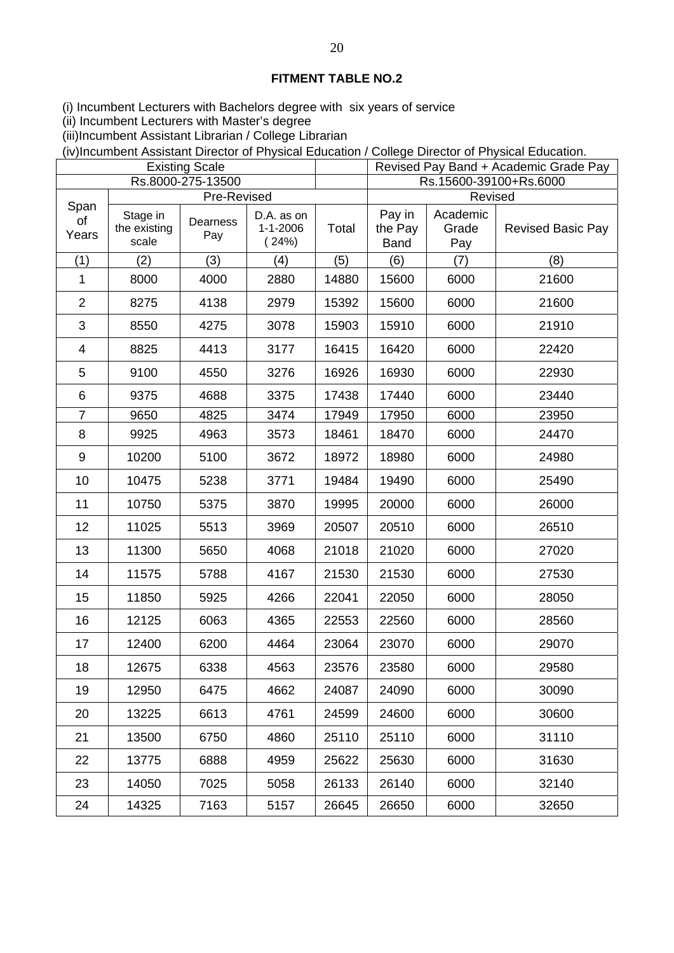(i) Incumbent Lecturers with Bachelors degree with six years of service

(ii) Incumbent Lecturers with Master's degree

(iii)Incumbent Assistant Librarian / College Librarian

(iv)Incumbent Assistant Director of Physical Education / College Director of Physical Education.

| <b>Existing Scale</b> |                                   |                   |                                       |       | Revised Pay Band + Academic Grade Pay |                          |                          |  |
|-----------------------|-----------------------------------|-------------------|---------------------------------------|-------|---------------------------------------|--------------------------|--------------------------|--|
|                       |                                   | Rs.8000-275-13500 |                                       |       | Rs.15600-39100+Rs.6000                |                          |                          |  |
| Span                  |                                   | Pre-Revised       |                                       |       |                                       | Revised                  |                          |  |
| of<br>Years           | Stage in<br>the existing<br>scale | Dearness<br>Pay   | D.A. as on<br>$1 - 1 - 2006$<br>(24%) | Total | Pay in<br>the Pay<br><b>Band</b>      | Academic<br>Grade<br>Pay | <b>Revised Basic Pay</b> |  |
| (1)                   | (2)                               | (3)               | (4)                                   | (5)   | (6)                                   | (7)                      | (8)                      |  |
| 1                     | 8000                              | 4000              | 2880                                  | 14880 | 15600                                 | 6000                     | 21600                    |  |
| $\overline{2}$        | 8275                              | 4138              | 2979                                  | 15392 | 15600                                 | 6000                     | 21600                    |  |
| 3                     | 8550                              | 4275              | 3078                                  | 15903 | 15910                                 | 6000                     | 21910                    |  |
| 4                     | 8825                              | 4413              | 3177                                  | 16415 | 16420                                 | 6000                     | 22420                    |  |
| 5                     | 9100                              | 4550              | 3276                                  | 16926 | 16930                                 | 6000                     | 22930                    |  |
| 6                     | 9375                              | 4688              | 3375                                  | 17438 | 17440                                 | 6000                     | 23440                    |  |
| 7                     | 9650                              | 4825              | 3474                                  | 17949 | 17950                                 | 6000                     | 23950                    |  |
| 8                     | 9925                              | 4963              | 3573                                  | 18461 | 18470                                 | 6000                     | 24470                    |  |
| 9                     | 10200                             | 5100              | 3672                                  | 18972 | 18980                                 | 6000                     | 24980                    |  |
| 10                    | 10475                             | 5238              | 3771                                  | 19484 | 19490                                 | 6000                     | 25490                    |  |
| 11                    | 10750                             | 5375              | 3870                                  | 19995 | 20000                                 | 6000                     | 26000                    |  |
| 12                    | 11025                             | 5513              | 3969                                  | 20507 | 20510                                 | 6000                     | 26510                    |  |
| 13                    | 11300                             | 5650              | 4068                                  | 21018 | 21020                                 | 6000                     | 27020                    |  |
| 14                    | 11575                             | 5788              | 4167                                  | 21530 | 21530                                 | 6000                     | 27530                    |  |
| 15                    | 11850                             | 5925              | 4266                                  | 22041 | 22050                                 | 6000                     | 28050                    |  |
| 16                    | 12125                             | 6063              | 4365                                  | 22553 | 22560                                 | 6000                     | 28560                    |  |
| 17                    | 12400                             | 6200              | 4464                                  | 23064 | 23070                                 | 6000                     | 29070                    |  |
| 18                    | 12675                             | 6338              | 4563                                  | 23576 | 23580                                 | 6000                     | 29580                    |  |
| 19                    | 12950                             | 6475              | 4662                                  | 24087 | 24090                                 | 6000                     | 30090                    |  |
| 20                    | 13225                             | 6613              | 4761                                  | 24599 | 24600                                 | 6000                     | 30600                    |  |
| 21                    | 13500                             | 6750              | 4860                                  | 25110 | 25110                                 | 6000                     | 31110                    |  |
| 22                    | 13775                             | 6888              | 4959                                  | 25622 | 25630                                 | 6000                     | 31630                    |  |
| 23                    | 14050                             | 7025              | 5058                                  | 26133 | 26140                                 | 6000                     | 32140                    |  |
| 24                    | 14325                             | 7163              | 5157                                  | 26645 | 26650                                 | 6000                     | 32650                    |  |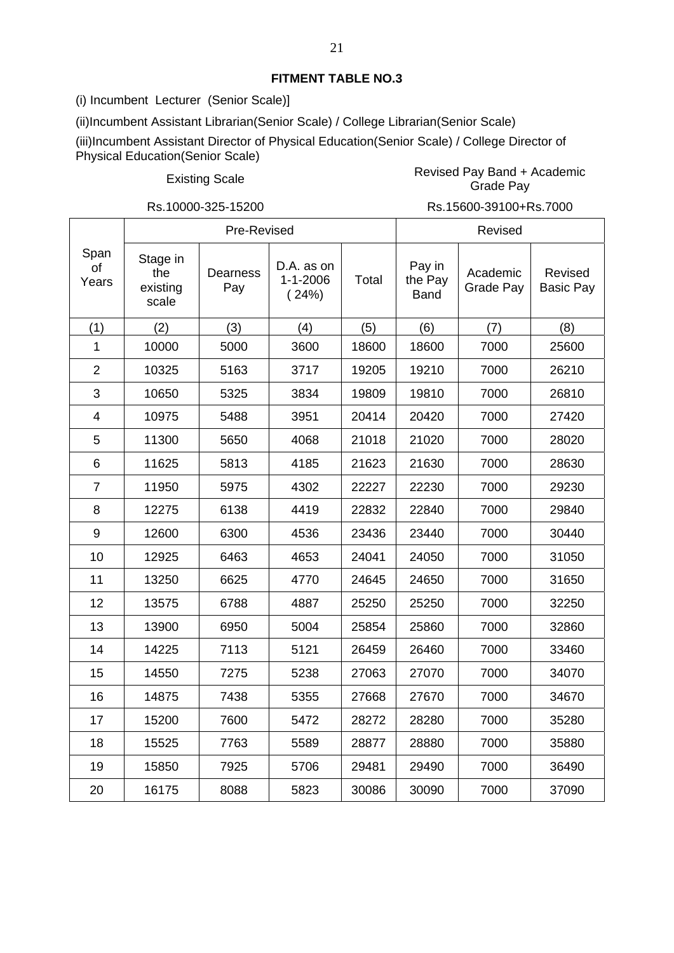(i) Incumbent Lecturer (Senior Scale)]

(ii)Incumbent Assistant Librarian(Senior Scale) / College Librarian(Senior Scale)

(iii)Incumbent Assistant Director of Physical Education(Senior Scale) / College Director of Physical Education(Senior Scale)

Existing Scale Revised Pay Band + Academic Grade Pay

Rs.10000-325-15200 Rs.15600-39100+Rs.7000

|                     | Pre-Revised                          |                        |                                       |       | Revised                          |                       |                             |  |
|---------------------|--------------------------------------|------------------------|---------------------------------------|-------|----------------------------------|-----------------------|-----------------------------|--|
| Span<br>of<br>Years | Stage in<br>the<br>existing<br>scale | <b>Dearness</b><br>Pay | D.A. as on<br>$1 - 1 - 2006$<br>(24%) | Total | Pay in<br>the Pay<br><b>Band</b> | Academic<br>Grade Pay | Revised<br><b>Basic Pay</b> |  |
| (1)                 | (2)                                  | (3)                    | (4)                                   | (5)   | (6)                              | (7)                   | (8)                         |  |
| 1                   | 10000                                | 5000                   | 3600                                  | 18600 | 18600                            | 7000                  | 25600                       |  |
| $\overline{2}$      | 10325                                | 5163                   | 3717                                  | 19205 | 19210                            | 7000                  | 26210                       |  |
| 3                   | 10650                                | 5325                   | 3834                                  | 19809 | 19810                            | 7000                  | 26810                       |  |
| $\overline{4}$      | 10975                                | 5488                   | 3951                                  | 20414 | 20420                            | 7000                  | 27420                       |  |
| 5                   | 11300                                | 5650                   | 4068                                  | 21018 | 21020                            | 7000                  | 28020                       |  |
| 6                   | 11625                                | 5813                   | 4185                                  | 21623 | 21630                            | 7000                  | 28630                       |  |
| $\overline{7}$      | 11950                                | 5975                   | 4302                                  | 22227 | 22230                            | 7000                  | 29230                       |  |
| 8                   | 12275                                | 6138                   | 4419                                  | 22832 | 22840                            | 7000                  | 29840                       |  |
| 9                   | 12600                                | 6300                   | 4536                                  | 23436 | 23440                            | 7000                  | 30440                       |  |
| 10                  | 12925                                | 6463                   | 4653                                  | 24041 | 24050                            | 7000                  | 31050                       |  |
| 11                  | 13250                                | 6625                   | 4770                                  | 24645 | 24650                            | 7000                  | 31650                       |  |
| 12                  | 13575                                | 6788                   | 4887                                  | 25250 | 25250                            | 7000                  | 32250                       |  |
| 13                  | 13900                                | 6950                   | 5004                                  | 25854 | 25860                            | 7000                  | 32860                       |  |
| 14                  | 14225                                | 7113                   | 5121                                  | 26459 | 26460                            | 7000                  | 33460                       |  |
| 15                  | 14550                                | 7275                   | 5238                                  | 27063 | 27070                            | 7000                  | 34070                       |  |
| 16                  | 14875                                | 7438                   | 5355                                  | 27668 | 27670                            | 7000                  | 34670                       |  |
| 17                  | 15200                                | 7600                   | 5472                                  | 28272 | 28280                            | 7000                  | 35280                       |  |
| 18                  | 15525                                | 7763                   | 5589                                  | 28877 | 28880                            | 7000                  | 35880                       |  |
| 19                  | 15850                                | 7925                   | 5706                                  | 29481 | 29490                            | 7000                  | 36490                       |  |
| 20                  | 16175                                | 8088                   | 5823                                  | 30086 | 30090                            | 7000                  | 37090                       |  |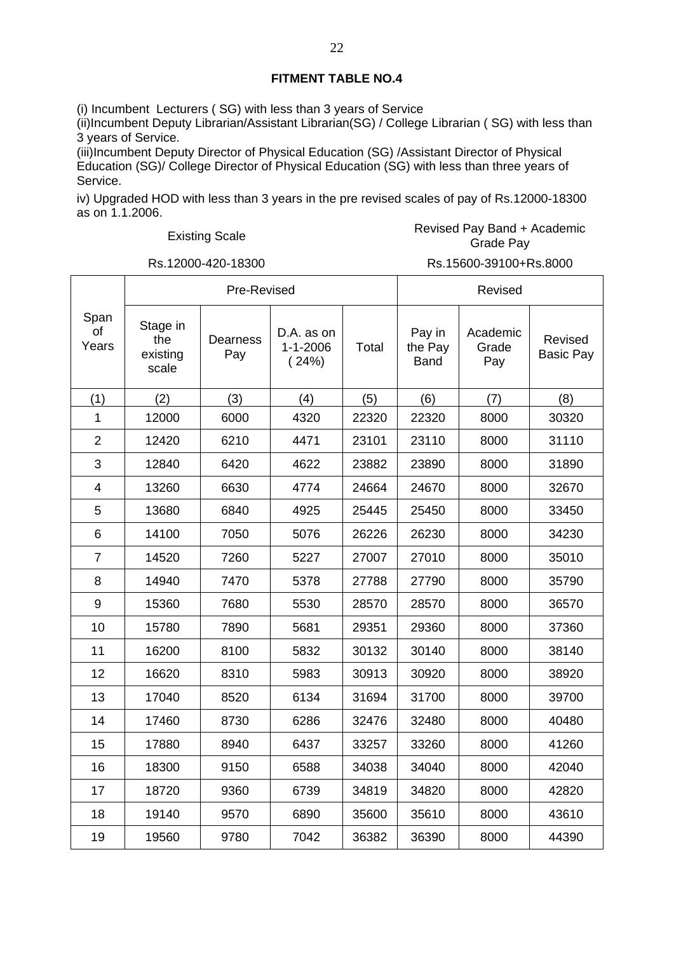(i) Incumbent Lecturers ( SG) with less than 3 years of Service

(ii)Incumbent Deputy Librarian/Assistant Librarian(SG) / College Librarian ( SG) with less than 3 years of Service.

(iii)Incumbent Deputy Director of Physical Education (SG) /Assistant Director of Physical Education (SG)/ College Director of Physical Education (SG) with less than three years of Service.

iv) Upgraded HOD with less than 3 years in the pre revised scales of pay of Rs.12000-18300 as on 1.1.2006.

Existing Scale **Revised Pay Band + Academic**<br>Crade Revised Pay Academic Grade Pay

┓

Rs.12000-420-18300 Rs.15600-39100+Rs.8000

|                     | Pre-Revised                          |                 |                                       |       | Revised                          |                          |                             |
|---------------------|--------------------------------------|-----------------|---------------------------------------|-------|----------------------------------|--------------------------|-----------------------------|
| Span<br>of<br>Years | Stage in<br>the<br>existing<br>scale | Dearness<br>Pay | D.A. as on<br>$1 - 1 - 2006$<br>(24%) | Total | Pay in<br>the Pay<br><b>Band</b> | Academic<br>Grade<br>Pay | Revised<br><b>Basic Pay</b> |
| (1)                 | (2)                                  | (3)             | (4)                                   | (5)   | (6)                              | (7)                      | (8)                         |
| 1                   | 12000                                | 6000            | 4320                                  | 22320 | 22320                            | 8000                     | 30320                       |
| $\overline{2}$      | 12420                                | 6210            | 4471                                  | 23101 | 23110                            | 8000                     | 31110                       |
| 3                   | 12840                                | 6420            | 4622                                  | 23882 | 23890                            | 8000                     | 31890                       |
| $\overline{4}$      | 13260                                | 6630            | 4774                                  | 24664 | 24670                            | 8000                     | 32670                       |
| 5                   | 13680                                | 6840            | 4925                                  | 25445 | 25450                            | 8000                     | 33450                       |
| 6                   | 14100                                | 7050            | 5076                                  | 26226 | 26230                            | 8000                     | 34230                       |
| $\overline{7}$      | 14520                                | 7260            | 5227                                  | 27007 | 27010                            | 8000                     | 35010                       |
| 8                   | 14940                                | 7470            | 5378                                  | 27788 | 27790                            | 8000                     | 35790                       |
| 9                   | 15360                                | 7680            | 5530                                  | 28570 | 28570                            | 8000                     | 36570                       |
| 10                  | 15780                                | 7890            | 5681                                  | 29351 | 29360                            | 8000                     | 37360                       |
| 11                  | 16200                                | 8100            | 5832                                  | 30132 | 30140                            | 8000                     | 38140                       |
| 12                  | 16620                                | 8310            | 5983                                  | 30913 | 30920                            | 8000                     | 38920                       |
| 13                  | 17040                                | 8520            | 6134                                  | 31694 | 31700                            | 8000                     | 39700                       |
| 14                  | 17460                                | 8730            | 6286                                  | 32476 | 32480                            | 8000                     | 40480                       |
| 15                  | 17880                                | 8940            | 6437                                  | 33257 | 33260                            | 8000                     | 41260                       |
| 16                  | 18300                                | 9150            | 6588                                  | 34038 | 34040                            | 8000                     | 42040                       |
| 17                  | 18720                                | 9360            | 6739                                  | 34819 | 34820                            | 8000                     | 42820                       |
| 18                  | 19140                                | 9570            | 6890                                  | 35600 | 35610                            | 8000                     | 43610                       |
| 19                  | 19560                                | 9780            | 7042                                  | 36382 | 36390                            | 8000                     | 44390                       |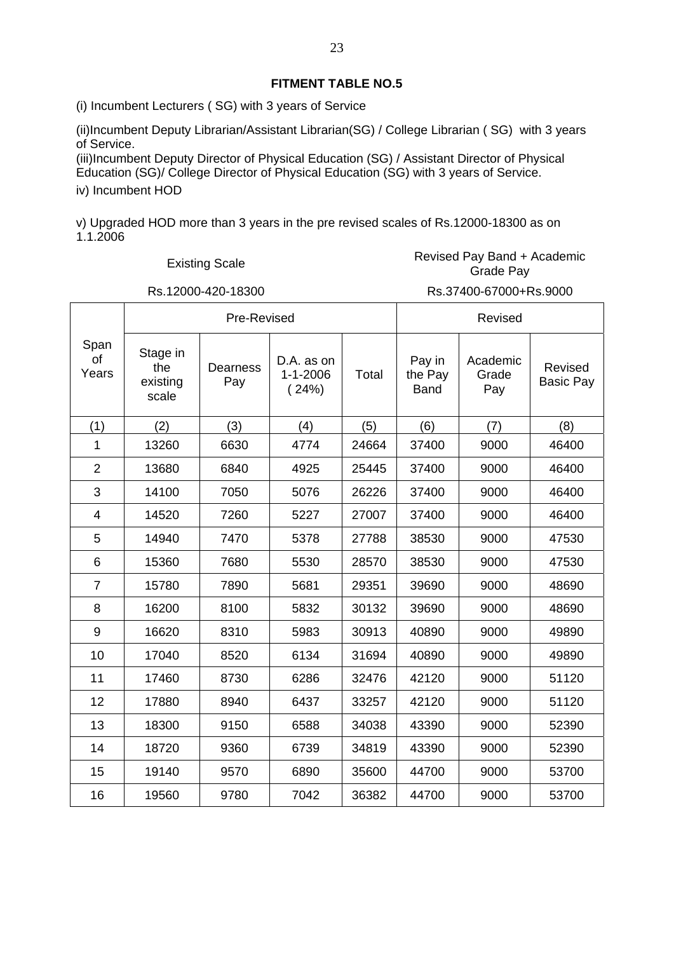(i) Incumbent Lecturers ( SG) with 3 years of Service

(ii)Incumbent Deputy Librarian/Assistant Librarian(SG) / College Librarian ( SG) with 3 years of Service.

(iii)Incumbent Deputy Director of Physical Education (SG) / Assistant Director of Physical Education (SG)/ College Director of Physical Education (SG) with 3 years of Service. iv) Incumbent HOD

v) Upgraded HOD more than 3 years in the pre revised scales of Rs.12000-18300 as on 1.1.2006

T

Existing Scale **Revised Pay Band + Academic**<br>Create Revised Pay Grade Pay

 $\Gamma$ 

┓

Rs.12000-420-18300 Rs.37400-67000+Rs.9000

┑

|                     | Pre-Revised                          |                 |                                       |       |       | Revised                  |                             |  |  |
|---------------------|--------------------------------------|-----------------|---------------------------------------|-------|-------|--------------------------|-----------------------------|--|--|
| Span<br>of<br>Years | Stage in<br>the<br>existing<br>scale | Dearness<br>Pay | D.A. as on<br>$1 - 1 - 2006$<br>(24%) | Total |       | Academic<br>Grade<br>Pay | Revised<br><b>Basic Pay</b> |  |  |
| (1)                 | (2)                                  | (3)             | (4)                                   | (5)   | (6)   | (7)                      | (8)                         |  |  |
| 1                   | 13260                                | 6630            | 4774                                  | 24664 | 37400 | 9000                     | 46400                       |  |  |
| $\overline{2}$      | 13680                                | 6840            | 4925                                  | 25445 | 37400 | 9000                     | 46400                       |  |  |
| 3                   | 14100                                | 7050            | 5076                                  | 26226 | 37400 | 9000                     | 46400                       |  |  |
| 4                   | 14520                                | 7260            | 5227                                  | 27007 | 37400 | 9000                     | 46400                       |  |  |
| 5                   | 14940                                | 7470            | 5378                                  | 27788 | 38530 | 9000                     | 47530                       |  |  |
| 6                   | 15360                                | 7680            | 5530                                  | 28570 | 38530 | 9000                     | 47530                       |  |  |
| $\overline{7}$      | 15780                                | 7890            | 5681                                  | 29351 | 39690 | 9000                     | 48690                       |  |  |
| 8                   | 16200                                | 8100            | 5832                                  | 30132 | 39690 | 9000                     | 48690                       |  |  |
| $\boldsymbol{9}$    | 16620                                | 8310            | 5983                                  | 30913 | 40890 | 9000                     | 49890                       |  |  |
| 10                  | 17040                                | 8520            | 6134                                  | 31694 | 40890 | 9000                     | 49890                       |  |  |
| 11                  | 17460                                | 8730            | 6286                                  | 32476 | 42120 | 9000                     | 51120                       |  |  |
| 12                  | 17880                                | 8940            | 6437                                  | 33257 | 42120 | 9000                     | 51120                       |  |  |
| 13                  | 18300                                | 9150            | 6588                                  | 34038 | 43390 | 9000                     | 52390                       |  |  |
| 14                  | 18720                                | 9360            | 6739                                  | 34819 | 43390 | 9000                     | 52390                       |  |  |
| 15                  | 19140                                | 9570            | 6890                                  | 35600 | 44700 | 9000                     | 53700                       |  |  |
| 16                  | 19560                                | 9780            | 7042                                  | 36382 | 44700 | 9000                     | 53700                       |  |  |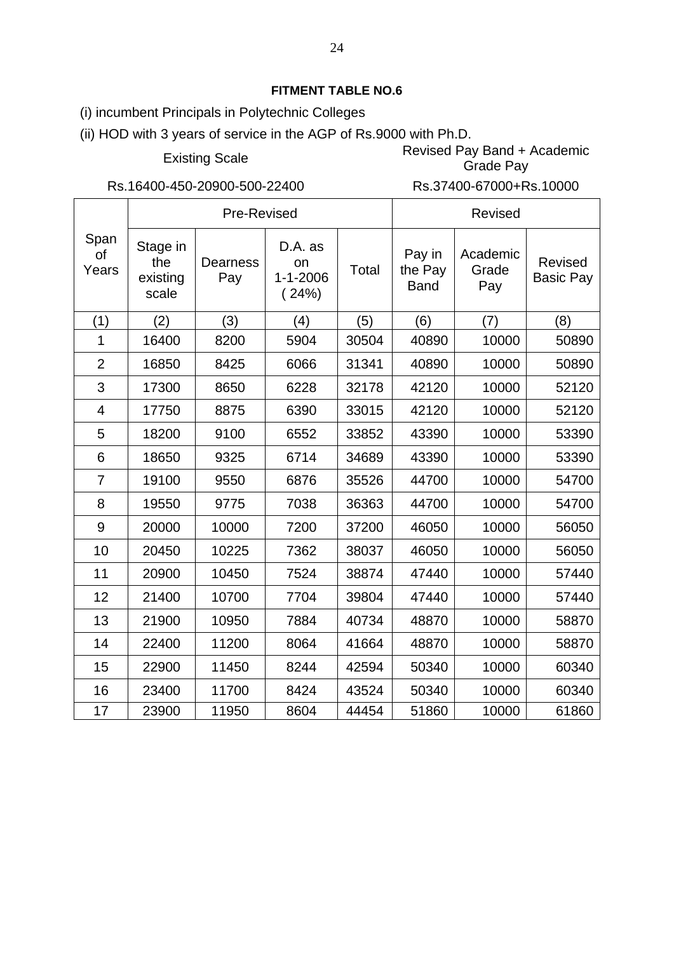(i) incumbent Principals in Polytechnic Colleges

(ii) HOD with 3 years of service in the AGP of Rs.9000 with Ph.D.

Existing Scale Revised Pay Band + Academic

Rs.16400-450-20900-500-22400 Rs.37400-67000+Rs.10000

Grade Pay

|                     | Pre-Revised                          |                 |                                          |       | <b>Revised</b>                   |                          |                                    |  |
|---------------------|--------------------------------------|-----------------|------------------------------------------|-------|----------------------------------|--------------------------|------------------------------------|--|
| Span<br>οf<br>Years | Stage in<br>the<br>existing<br>scale | Dearness<br>Pay | D.A. as<br>on<br>$1 - 1 - 2006$<br>(24%) | Total | Pay in<br>the Pay<br><b>Band</b> | Academic<br>Grade<br>Pay | <b>Revised</b><br><b>Basic Pay</b> |  |
| (1)                 | (2)                                  | (3)             | (4)                                      | (5)   | (6)                              | (7)                      | (8)                                |  |
| 1                   | 16400                                | 8200            | 5904                                     | 30504 | 40890                            | 10000                    | 50890                              |  |
| $\overline{2}$      | 16850                                | 8425            | 6066                                     | 31341 | 40890                            | 10000                    | 50890                              |  |
| 3                   | 17300                                | 8650            | 6228                                     | 32178 | 42120                            | 10000                    | 52120                              |  |
| 4                   | 17750                                | 8875            | 6390                                     | 33015 | 42120                            | 10000                    | 52120                              |  |
| 5                   | 18200                                | 9100            | 6552                                     | 33852 | 43390                            | 10000                    | 53390                              |  |
| 6                   | 18650                                | 9325            | 6714                                     | 34689 | 43390                            | 10000                    | 53390                              |  |
| $\overline{7}$      | 19100                                | 9550            | 6876                                     | 35526 | 44700                            | 10000                    | 54700                              |  |
| 8                   | 19550                                | 9775            | 7038                                     | 36363 | 44700                            | 10000                    | 54700                              |  |
| 9                   | 20000                                | 10000           | 7200                                     | 37200 | 46050                            | 10000                    | 56050                              |  |
| 10                  | 20450                                | 10225           | 7362                                     | 38037 | 46050                            | 10000                    | 56050                              |  |
| 11                  | 20900                                | 10450           | 7524                                     | 38874 | 47440                            | 10000                    | 57440                              |  |
| 12                  | 21400                                | 10700           | 7704                                     | 39804 | 47440                            | 10000                    | 57440                              |  |
| 13                  | 21900                                | 10950           | 7884                                     | 40734 | 48870                            | 10000                    | 58870                              |  |
| 14                  | 22400                                | 11200           | 8064                                     | 41664 | 48870                            | 10000                    | 58870                              |  |
| 15                  | 22900                                | 11450           | 8244                                     | 42594 | 50340                            | 10000                    | 60340                              |  |
| 16                  | 23400                                | 11700           | 8424                                     | 43524 | 50340                            | 10000                    | 60340                              |  |
| 17                  | 23900                                | 11950           | 8604                                     | 44454 | 51860                            | 10000                    | 61860                              |  |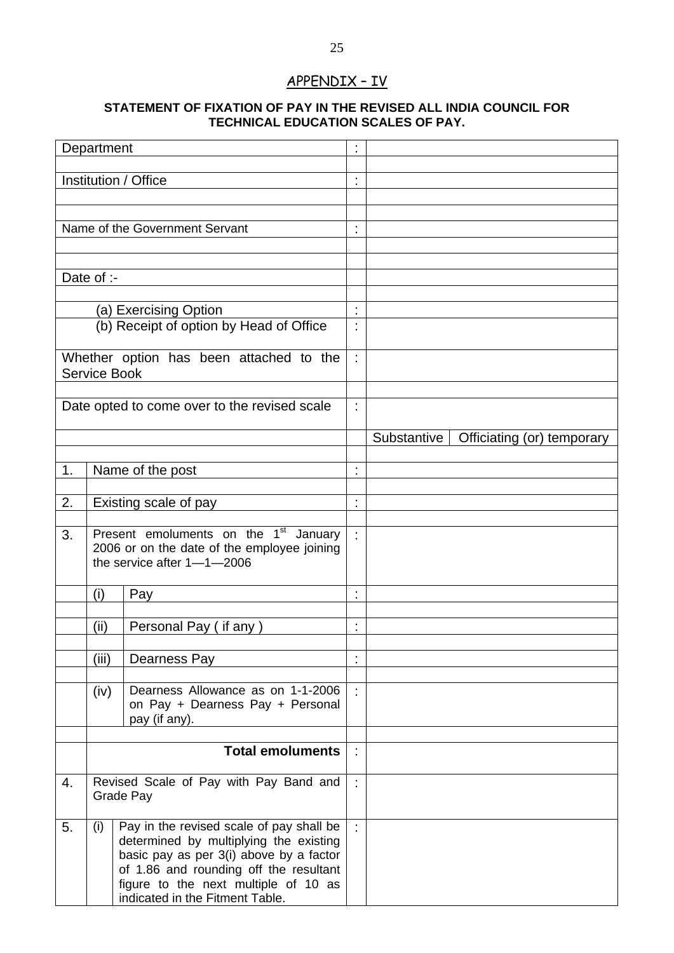# APPENDIX – IV

# **STATEMENT OF FIXATION OF PAY IN THE REVISED ALL INDIA COUNCIL FOR TECHNICAL EDUCATION SCALES OF PAY.**

|                                                                                                | Department |                                                                                                                                                                                                                                                    |                |                                           |
|------------------------------------------------------------------------------------------------|------------|----------------------------------------------------------------------------------------------------------------------------------------------------------------------------------------------------------------------------------------------------|----------------|-------------------------------------------|
|                                                                                                |            | Institution / Office                                                                                                                                                                                                                               | t              |                                           |
|                                                                                                |            |                                                                                                                                                                                                                                                    |                |                                           |
|                                                                                                |            | Name of the Government Servant                                                                                                                                                                                                                     |                |                                           |
|                                                                                                |            |                                                                                                                                                                                                                                                    |                |                                           |
|                                                                                                |            |                                                                                                                                                                                                                                                    |                |                                           |
|                                                                                                | Date of :- |                                                                                                                                                                                                                                                    |                |                                           |
|                                                                                                |            | (a) Exercising Option                                                                                                                                                                                                                              | ٠              |                                           |
|                                                                                                |            | (b) Receipt of option by Head of Office                                                                                                                                                                                                            |                |                                           |
|                                                                                                |            | Whether option has been attached to the<br><b>Service Book</b>                                                                                                                                                                                     | ÷.             |                                           |
|                                                                                                |            | Date opted to come over to the revised scale                                                                                                                                                                                                       | t              |                                           |
|                                                                                                |            |                                                                                                                                                                                                                                                    |                | Substantive<br>Officiating (or) temporary |
| 1.                                                                                             |            | Name of the post                                                                                                                                                                                                                                   | ł,             |                                           |
|                                                                                                |            |                                                                                                                                                                                                                                                    |                |                                           |
| 2.                                                                                             |            | Existing scale of pay                                                                                                                                                                                                                              | $\blacksquare$ |                                           |
| 3.                                                                                             |            | Present emoluments on the 1 <sup>st</sup> January<br>2006 or on the date of the employee joining<br>the service after $1 - 1 - 2006$                                                                                                               | ÷.             |                                           |
|                                                                                                | (i)        | Pay                                                                                                                                                                                                                                                | $\blacksquare$ |                                           |
|                                                                                                | (ii)       | Personal Pay (if any)                                                                                                                                                                                                                              | $\blacksquare$ |                                           |
|                                                                                                | (iii)      | Dearness Pay                                                                                                                                                                                                                                       |                |                                           |
| Dearness Allowance as on 1-1-2006<br>(iv)<br>on Pay + Dearness Pay + Personal<br>pay (if any). |            | ÷.                                                                                                                                                                                                                                                 |                |                                           |
|                                                                                                |            | <b>Total emoluments</b>                                                                                                                                                                                                                            | t,             |                                           |
|                                                                                                |            |                                                                                                                                                                                                                                                    |                |                                           |
| 4.                                                                                             |            | Revised Scale of Pay with Pay Band and<br>Grade Pay                                                                                                                                                                                                | ÷              |                                           |
| 5.                                                                                             | (i)        | Pay in the revised scale of pay shall be<br>determined by multiplying the existing<br>basic pay as per 3(i) above by a factor<br>of 1.86 and rounding off the resultant<br>figure to the next multiple of 10 as<br>indicated in the Fitment Table. |                |                                           |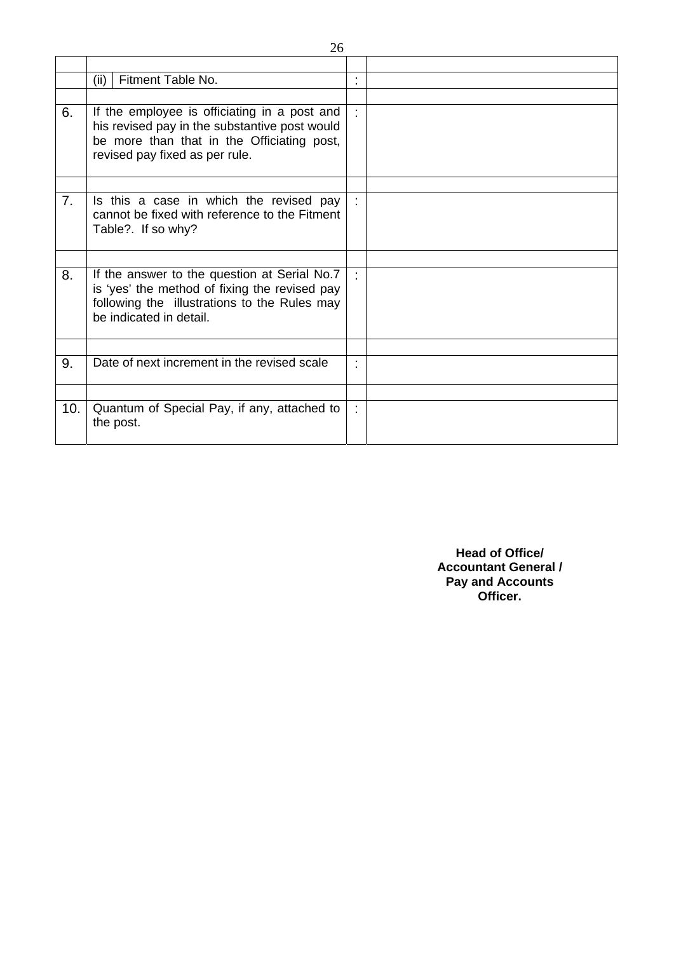|     | Fitment Table No.<br>(ii)                                                                                                                                                     | ٠  |  |
|-----|-------------------------------------------------------------------------------------------------------------------------------------------------------------------------------|----|--|
|     |                                                                                                                                                                               |    |  |
| 6.  | If the employee is officiating in a post and<br>his revised pay in the substantive post would<br>be more than that in the Officiating post,<br>revised pay fixed as per rule. | t. |  |
|     |                                                                                                                                                                               |    |  |
| 7.  | Is this a case in which the revised pay<br>cannot be fixed with reference to the Fitment<br>Table?. If so why?                                                                | ÷  |  |
|     |                                                                                                                                                                               |    |  |
| 8.  | If the answer to the question at Serial No.7<br>is 'yes' the method of fixing the revised pay<br>following the illustrations to the Rules may<br>be indicated in detail.      | ÷  |  |
|     |                                                                                                                                                                               |    |  |
| 9.  | Date of next increment in the revised scale                                                                                                                                   | ٠  |  |
|     |                                                                                                                                                                               |    |  |
| 10. | Quantum of Special Pay, if any, attached to<br>the post.                                                                                                                      | t. |  |

**Head of Office/ Accountant General / Pay and Accounts Officer.**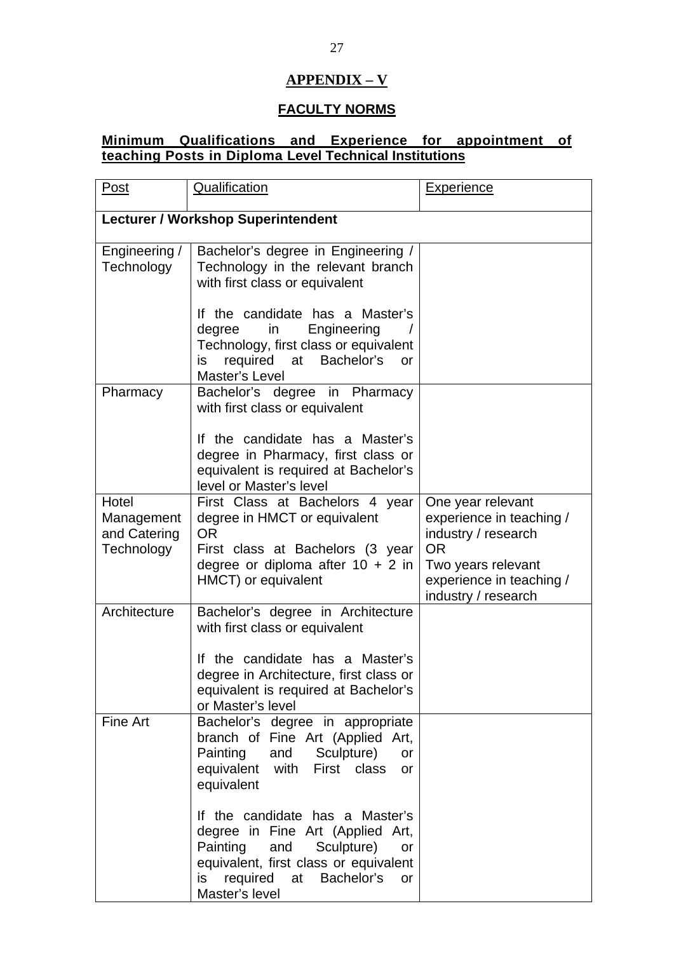# **APPENDIX – V**

# **FACULTY NORMS**

# **Minimum Qualifications and Experience for appointment of teaching Posts in Diploma Level Technical Institutions**

| Post                                              | Qualification                                                                                                                                                                                                         | <b>Experience</b>                                                                                                                                          |  |  |  |  |  |
|---------------------------------------------------|-----------------------------------------------------------------------------------------------------------------------------------------------------------------------------------------------------------------------|------------------------------------------------------------------------------------------------------------------------------------------------------------|--|--|--|--|--|
| <b>Lecturer / Workshop Superintendent</b>         |                                                                                                                                                                                                                       |                                                                                                                                                            |  |  |  |  |  |
| Engineering /<br>Technology                       | Bachelor's degree in Engineering /<br>Technology in the relevant branch<br>with first class or equivalent                                                                                                             |                                                                                                                                                            |  |  |  |  |  |
|                                                   | If the candidate has a Master's<br>Engineering<br>degree<br>in<br>Technology, first class or equivalent<br>required at Bachelor's<br>is.<br><b>or</b><br>Master's Level                                               |                                                                                                                                                            |  |  |  |  |  |
| Pharmacy                                          | Bachelor's degree in Pharmacy<br>with first class or equivalent                                                                                                                                                       |                                                                                                                                                            |  |  |  |  |  |
|                                                   | If the candidate has a Master's<br>degree in Pharmacy, first class or<br>equivalent is required at Bachelor's<br>level or Master's level                                                                              |                                                                                                                                                            |  |  |  |  |  |
| Hotel<br>Management<br>and Catering<br>Technology | First Class at Bachelors 4 year<br>degree in HMCT or equivalent<br><b>OR</b><br>First class at Bachelors (3 year<br>degree or diploma after $10 + 2$ in<br>HMCT) or equivalent                                        | One year relevant<br>experience in teaching /<br>industry / research<br><b>OR</b><br>Two years relevant<br>experience in teaching /<br>industry / research |  |  |  |  |  |
| Architecture                                      | Bachelor's degree in Architecture<br>with first class or equivalent<br>If the candidate has a Master's<br>degree in Architecture, first class or<br>equivalent is required at Bachelor's<br>or Master's level         |                                                                                                                                                            |  |  |  |  |  |
| Fine Art                                          | Bachelor's degree in appropriate<br>branch of Fine Art (Applied Art,<br>Painting and Sculpture)<br>or<br>equivalent with First class<br>or<br>equivalent                                                              |                                                                                                                                                            |  |  |  |  |  |
|                                                   | If the candidate has a Master's<br>degree in Fine Art (Applied Art,<br>Painting and<br>Sculpture)<br>or<br>equivalent, first class or equivalent<br>required<br>Bachelor's<br>at<br>is<br><b>or</b><br>Master's level |                                                                                                                                                            |  |  |  |  |  |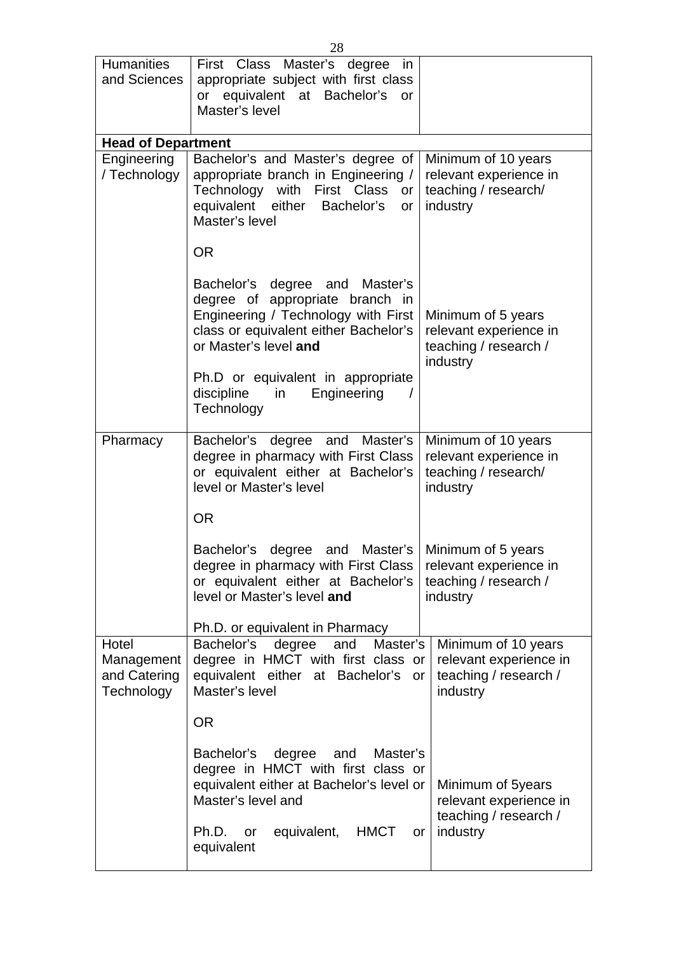| <b>Humanities</b><br>and Sciences                 | First Class Master's degree<br>in<br>appropriate subject with first class<br>equivalent at Bachelor's<br>or<br><b>or</b><br>Master's level                                 |                                                                                    |  |  |  |  |  |  |  |  |  |  |
|---------------------------------------------------|----------------------------------------------------------------------------------------------------------------------------------------------------------------------------|------------------------------------------------------------------------------------|--|--|--|--|--|--|--|--|--|--|
|                                                   | <b>Head of Department</b>                                                                                                                                                  |                                                                                    |  |  |  |  |  |  |  |  |  |  |
| Engineering<br>/ Technology                       | Bachelor's and Master's degree of<br>appropriate branch in Engineering /<br>Technology with First Class<br>or<br>equivalent either Bachelor's<br>or<br>Master's level      | Minimum of 10 years<br>relevant experience in<br>teaching / research/<br>industry  |  |  |  |  |  |  |  |  |  |  |
|                                                   | <b>OR</b>                                                                                                                                                                  |                                                                                    |  |  |  |  |  |  |  |  |  |  |
|                                                   | Bachelor's degree and Master's<br>degree of appropriate branch in<br>Engineering / Technology with First<br>class or equivalent either Bachelor's<br>or Master's level and | Minimum of 5 years<br>relevant experience in<br>teaching / research /<br>industry  |  |  |  |  |  |  |  |  |  |  |
|                                                   | Ph.D or equivalent in appropriate<br>discipline<br>Engineering<br>in<br>Technology                                                                                         |                                                                                    |  |  |  |  |  |  |  |  |  |  |
| Pharmacy                                          | Bachelor's degree and Master's<br>degree in pharmacy with First Class<br>or equivalent either at Bachelor's<br>level or Master's level                                     | Minimum of 10 years<br>relevant experience in<br>teaching / research/<br>industry  |  |  |  |  |  |  |  |  |  |  |
|                                                   | <b>OR</b>                                                                                                                                                                  |                                                                                    |  |  |  |  |  |  |  |  |  |  |
|                                                   | Bachelor's<br>degree<br>and<br>Master's<br>degree in pharmacy with First Class<br>or equivalent either at Bachelor's<br>level or Master's level and                        | Minimum of 5 years<br>relevant experience in<br>teaching / research /<br>industry  |  |  |  |  |  |  |  |  |  |  |
|                                                   | Ph.D. or equivalent in Pharmacy                                                                                                                                            |                                                                                    |  |  |  |  |  |  |  |  |  |  |
| Hotel<br>Management<br>and Catering<br>Technology | Master's<br>Bachelor's<br>degree<br>and<br>degree in HMCT with first class or<br>equivalent either at Bachelor's<br>or<br>Master's level                                   | Minimum of 10 years<br>relevant experience in<br>teaching / research /<br>industry |  |  |  |  |  |  |  |  |  |  |
|                                                   | <b>OR</b>                                                                                                                                                                  |                                                                                    |  |  |  |  |  |  |  |  |  |  |
|                                                   | Bachelor's<br>degree<br>and<br>Master's<br>degree in HMCT with first class or<br>equivalent either at Bachelor's level or<br>Master's level and                            | Minimum of 5years<br>relevant experience in<br>teaching / research /               |  |  |  |  |  |  |  |  |  |  |
|                                                   | equivalent,<br><b>HMCT</b><br>Ph.D.<br>or<br>equivalent                                                                                                                    | industry<br>or                                                                     |  |  |  |  |  |  |  |  |  |  |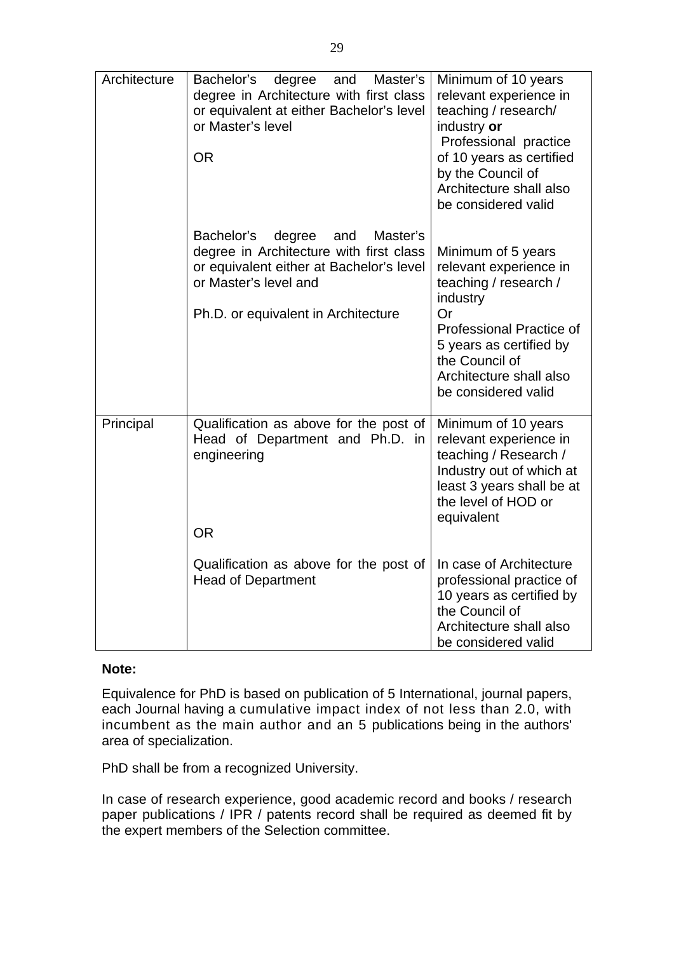| Architecture | Bachelor's<br>degree<br>Master's<br>and<br>degree in Architecture with first class<br>or equivalent at either Bachelor's level<br>or Master's level<br><b>OR</b>                               | Minimum of 10 years<br>relevant experience in<br>teaching / research/<br>industry or<br>Professional practice<br>of 10 years as certified<br>by the Council of<br>Architecture shall also<br>be considered valid   |
|--------------|------------------------------------------------------------------------------------------------------------------------------------------------------------------------------------------------|--------------------------------------------------------------------------------------------------------------------------------------------------------------------------------------------------------------------|
|              | Bachelor's<br>Master's<br>degree<br>and<br>degree in Architecture with first class<br>or equivalent either at Bachelor's level<br>or Master's level and<br>Ph.D. or equivalent in Architecture | Minimum of 5 years<br>relevant experience in<br>teaching / research /<br>industry<br>Or<br>Professional Practice of<br>5 years as certified by<br>the Council of<br>Architecture shall also<br>be considered valid |
| Principal    | Qualification as above for the post of<br>Head of Department and Ph.D. in<br>engineering<br><b>OR</b>                                                                                          | Minimum of 10 years<br>relevant experience in<br>teaching / Research /<br>Industry out of which at<br>least 3 years shall be at<br>the level of HOD or<br>equivalent                                               |
|              | Qualification as above for the post of<br><b>Head of Department</b>                                                                                                                            | In case of Architecture<br>professional practice of<br>10 years as certified by<br>the Council of<br>Architecture shall also<br>be considered valid                                                                |

# **Note:**

Equivalence for PhD is based on publication of 5 International, journal papers, each Journal having a cumulative impact index of not less than 2.0, with incumbent as the main author and an 5 publications being in the authors' area of specialization.

PhD shall be from a recognized University.

In case of research experience, good academic record and books / research paper publications / IPR / patents record shall be required as deemed fit by the expert members of the Selection committee.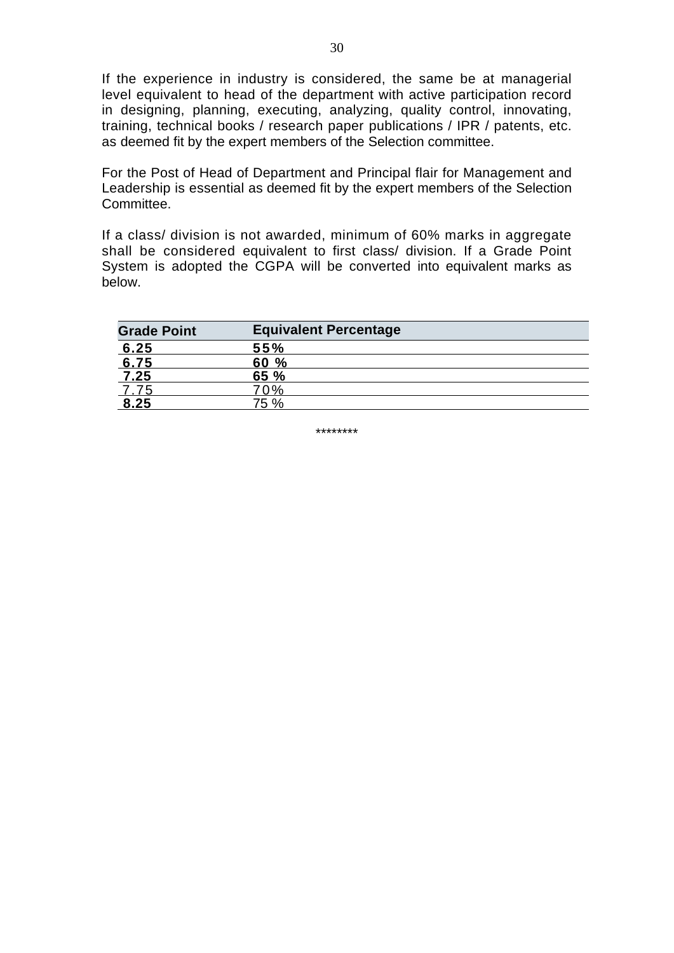If the experience in industry is considered, the same be at managerial level equivalent to head of the department with active participation record in designing, planning, executing, analyzing, quality control, innovating, training, technical books / research paper publications / IPR / patents, etc. as deemed fit by the expert members of the Selection committee.

For the Post of Head of Department and Principal flair for Management and Leadership is essential as deemed fit by the expert members of the Selection Committee.

If a class/ division is not awarded, minimum of 60% marks in aggregate shall be considered equivalent to first class/ division. If a Grade Point System is adopted the CGPA will be converted into equivalent marks as below.

| <b>Grade Point</b> | <b>Equivalent Percentage</b> |
|--------------------|------------------------------|
| 6.25               | 55%                          |
| 6.75               | 60 %                         |
| 7.25               | 65%                          |
| 7.75               | 70%                          |
| 8.25               | 75 %                         |

\*\*\*\*\*\*\*\*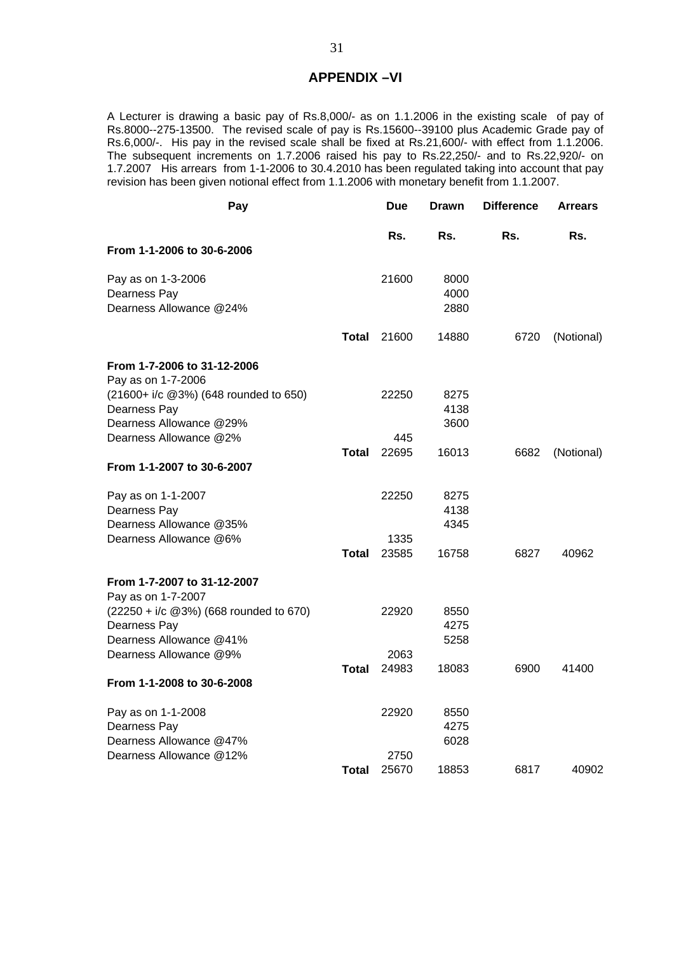#### **APPENDIX –VI**

A Lecturer is drawing a basic pay of Rs.8,000/- as on 1.1.2006 in the existing scale of pay of Rs.8000--275-13500. The revised scale of pay is Rs.15600--39100 plus Academic Grade pay of Rs.6,000/-. His pay in the revised scale shall be fixed at Rs.21,600/- with effect from 1.1.2006. The subsequent increments on 1.7.2006 raised his pay to Rs.22,250/- and to Rs.22,920/- on 1.7.2007 His arrears from 1-1-2006 to 30.4.2010 has been regulated taking into account that pay revision has been given notional effect from 1.1.2006 with monetary benefit from 1.1.2007.

| Pay                                         |              | Due   | <b>Drawn</b> | <b>Difference</b> | <b>Arrears</b> |
|---------------------------------------------|--------------|-------|--------------|-------------------|----------------|
|                                             |              | Rs.   | Rs.          | Rs.               | Rs.            |
| From 1-1-2006 to 30-6-2006                  |              |       |              |                   |                |
| Pay as on 1-3-2006                          |              | 21600 | 8000         |                   |                |
| Dearness Pay                                |              |       | 4000         |                   |                |
| Dearness Allowance @24%                     |              |       | 2880         |                   |                |
|                                             | Total        | 21600 | 14880        | 6720              | (Notional)     |
| From 1-7-2006 to 31-12-2006                 |              |       |              |                   |                |
| Pay as on 1-7-2006                          |              |       |              |                   |                |
| (21600+ i/c @3%) (648 rounded to 650)       |              | 22250 | 8275         |                   |                |
| Dearness Pay                                |              |       | 4138         |                   |                |
| Dearness Allowance @29%                     |              |       | 3600         |                   |                |
| Dearness Allowance @2%                      |              | 445   |              |                   |                |
| From 1-1-2007 to 30-6-2007                  | Total        | 22695 | 16013        | 6682              | (Notional)     |
|                                             |              |       |              |                   |                |
| Pay as on 1-1-2007                          |              | 22250 | 8275         |                   |                |
| Dearness Pay                                |              |       | 4138         |                   |                |
| Dearness Allowance @35%                     |              |       | 4345         |                   |                |
| Dearness Allowance @6%                      |              | 1335  |              |                   |                |
|                                             | <b>Total</b> | 23585 | 16758        | 6827              | 40962          |
| From 1-7-2007 to 31-12-2007                 |              |       |              |                   |                |
| Pay as on 1-7-2007                          |              |       |              |                   |                |
| $(22250 + i/c \ @3\%)$ (668 rounded to 670) |              | 22920 | 8550         |                   |                |
| Dearness Pay                                |              |       | 4275         |                   |                |
| Dearness Allowance @41%                     |              |       | 5258         |                   |                |
| Dearness Allowance @9%                      |              | 2063  |              |                   |                |
|                                             | Total        | 24983 | 18083        | 6900              | 41400          |
| From 1-1-2008 to 30-6-2008                  |              |       |              |                   |                |
| Pay as on 1-1-2008                          |              | 22920 | 8550         |                   |                |
| Dearness Pay                                |              |       | 4275         |                   |                |
| Dearness Allowance @47%                     |              |       | 6028         |                   |                |
| Dearness Allowance @12%                     |              | 2750  |              |                   |                |
|                                             | Total        | 25670 | 18853        | 6817              | 40902          |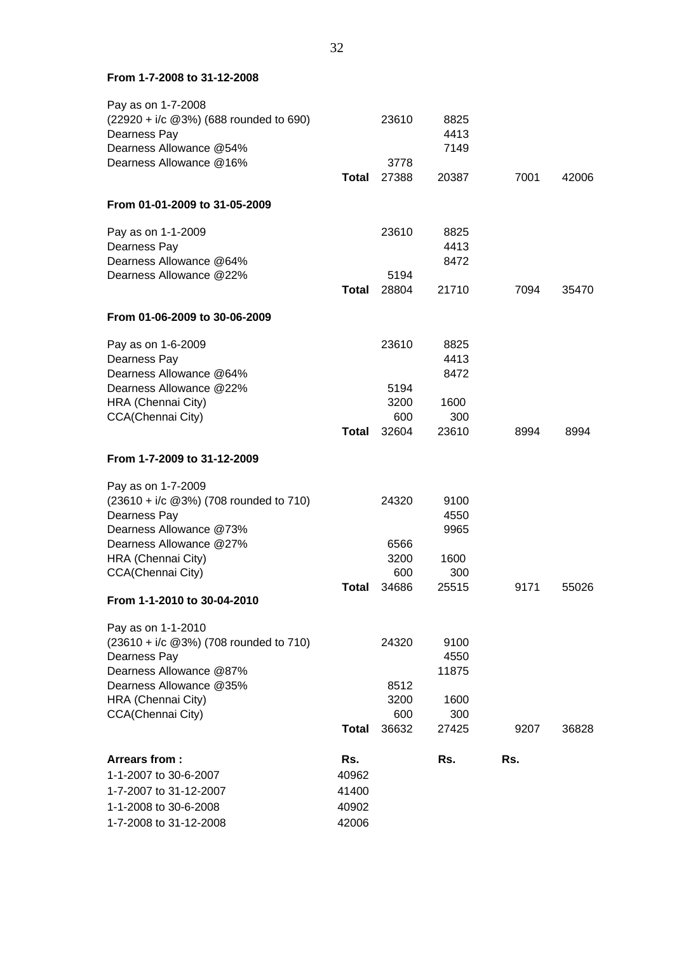#### **From 1-7-2008 to 31-12-2008**

| Pay as on 1-7-2008                          |              |               |              |      |       |
|---------------------------------------------|--------------|---------------|--------------|------|-------|
| (22920 + i/c @3%) (688 rounded to 690)      |              | 23610         | 8825         |      |       |
| Dearness Pay                                |              |               | 4413         |      |       |
| Dearness Allowance @54%                     |              |               | 7149         |      |       |
| Dearness Allowance @16%                     |              | 3778          |              |      |       |
|                                             | <b>Total</b> | 27388         | 20387        | 7001 | 42006 |
| From 01-01-2009 to 31-05-2009               |              |               |              |      |       |
| Pay as on 1-1-2009                          |              | 23610         | 8825         |      |       |
| Dearness Pay                                |              |               | 4413         |      |       |
| Dearness Allowance @64%                     |              |               | 8472         |      |       |
| Dearness Allowance @22%                     | <b>Total</b> | 5194<br>28804 | 21710        | 7094 | 35470 |
|                                             |              |               |              |      |       |
| From 01-06-2009 to 30-06-2009               |              |               |              |      |       |
| Pay as on 1-6-2009                          |              | 23610         | 8825         |      |       |
| Dearness Pay                                |              |               | 4413         |      |       |
| Dearness Allowance @64%                     |              |               | 8472         |      |       |
| Dearness Allowance @22%                     |              | 5194          |              |      |       |
| HRA (Chennai City)                          |              | 3200          | 1600         |      |       |
| CCA(Chennai City)                           | <b>Total</b> | 600<br>32604  | 300<br>23610 |      | 8994  |
|                                             |              |               |              | 8994 |       |
| From 1-7-2009 to 31-12-2009                 |              |               |              |      |       |
| Pay as on 1-7-2009                          |              |               |              |      |       |
| $(23610 + i/c \ @3\%)$ (708 rounded to 710) |              | 24320         | 9100         |      |       |
| Dearness Pay                                |              |               | 4550         |      |       |
| Dearness Allowance @73%                     |              |               | 9965         |      |       |
| Dearness Allowance @27%                     |              | 6566          |              |      |       |
| HRA (Chennai City)                          |              | 3200          | 1600         |      |       |
| CCA(Chennai City)                           |              | 600           | 300          |      |       |
| From 1-1-2010 to 30-04-2010                 | <b>Total</b> | 34686         | 25515        | 9171 | 55026 |
| Pay as on 1-1-2010                          |              |               |              |      |       |
| (23610 + i/c @3%) (708 rounded to 710)      |              | 24320         | 9100         |      |       |
| Dearness Pay                                |              |               | 4550         |      |       |
| Dearness Allowance @87%                     |              |               | 11875        |      |       |
| Dearness Allowance @35%                     |              | 8512          |              |      |       |
| HRA (Chennai City)                          |              | 3200          | 1600         |      |       |
| CCA(Chennai City)                           |              | 600           | 300          |      |       |
|                                             | <b>Total</b> | 36632         | 27425        | 9207 | 36828 |
| Arrears from:                               | Rs.          |               | Rs.          | Rs.  |       |
| 1-1-2007 to 30-6-2007                       | 40962        |               |              |      |       |
| 1-7-2007 to 31-12-2007                      | 41400        |               |              |      |       |
| 1-1-2008 to 30-6-2008                       | 40902        |               |              |      |       |
| 1-7-2008 to 31-12-2008                      | 42006        |               |              |      |       |